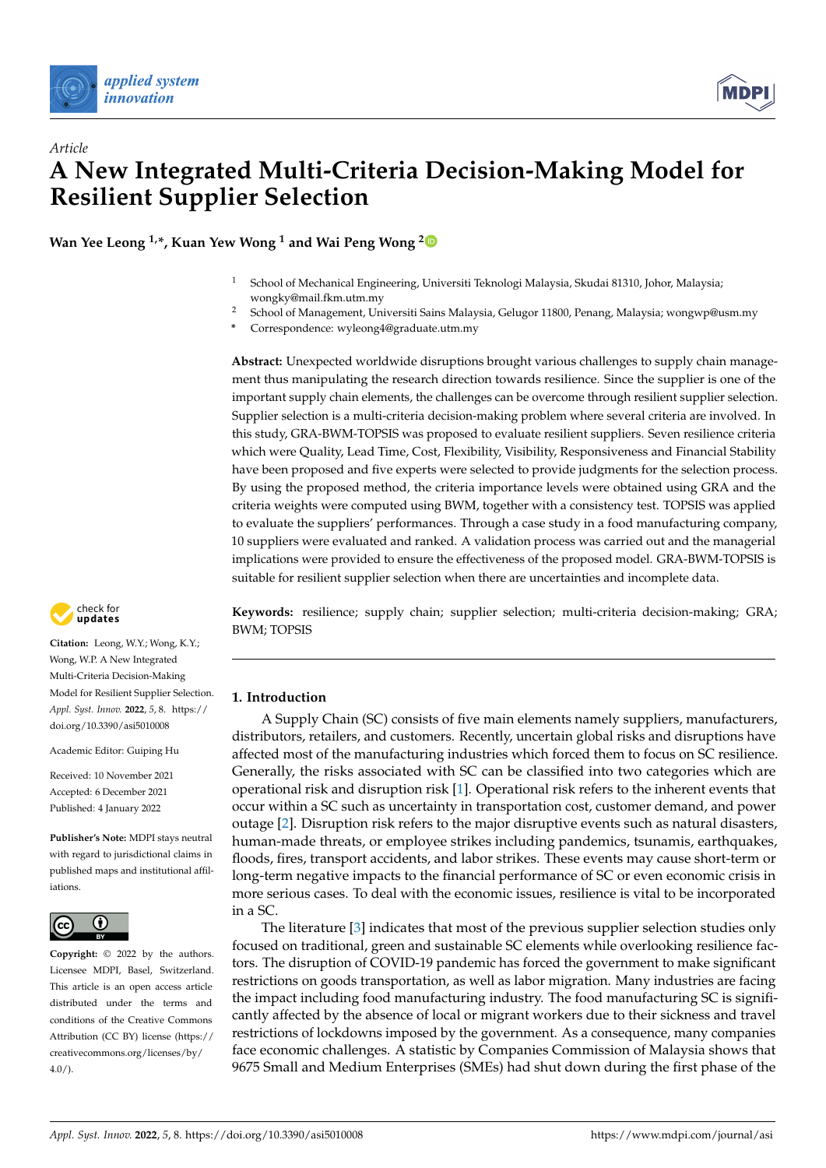



**Wan Yee Leong 1,\*, Kuan Yew Wong <sup>1</sup> and Wai Peng Wong [2](https://orcid.org/0000-0002-0875-9199)**

- <sup>1</sup> School of Mechanical Engineering, Universiti Teknologi Malaysia, Skudai 81310, Johor, Malaysia; wongky@mail.fkm.utm.my
- <sup>2</sup> School of Management, Universiti Sains Malaysia, Gelugor 11800, Penang, Malaysia; wongwp@usm.my
- **\*** Correspondence: wyleong4@graduate.utm.my

**Abstract:** Unexpected worldwide disruptions brought various challenges to supply chain management thus manipulating the research direction towards resilience. Since the supplier is one of the important supply chain elements, the challenges can be overcome through resilient supplier selection. Supplier selection is a multi-criteria decision-making problem where several criteria are involved. In this study, GRA-BWM-TOPSIS was proposed to evaluate resilient suppliers. Seven resilience criteria which were Quality, Lead Time, Cost, Flexibility, Visibility, Responsiveness and Financial Stability have been proposed and five experts were selected to provide judgments for the selection process. By using the proposed method, the criteria importance levels were obtained using GRA and the criteria weights were computed using BWM, together with a consistency test. TOPSIS was applied to evaluate the suppliers' performances. Through a case study in a food manufacturing company, 10 suppliers were evaluated and ranked. A validation process was carried out and the managerial implications were provided to ensure the effectiveness of the proposed model. GRA-BWM-TOPSIS is suitable for resilient supplier selection when there are uncertainties and incomplete data.

**Keywords:** resilience; supply chain; supplier selection; multi-criteria decision-making; GRA; BWM; TOPSIS

## **1. Introduction**

A Supply Chain (SC) consists of five main elements namely suppliers, manufacturers, distributors, retailers, and customers. Recently, uncertain global risks and disruptions have affected most of the manufacturing industries which forced them to focus on SC resilience. Generally, the risks associated with SC can be classified into two categories which are operational risk and disruption risk [\[1\]](#page-15-0). Operational risk refers to the inherent events that occur within a SC such as uncertainty in transportation cost, customer demand, and power outage [\[2\]](#page-15-1). Disruption risk refers to the major disruptive events such as natural disasters, human-made threats, or employee strikes including pandemics, tsunamis, earthquakes, floods, fires, transport accidents, and labor strikes. These events may cause short-term or long-term negative impacts to the financial performance of SC or even economic crisis in more serious cases. To deal with the economic issues, resilience is vital to be incorporated in a SC.

The literature [\[3\]](#page-15-2) indicates that most of the previous supplier selection studies only focused on traditional, green and sustainable SC elements while overlooking resilience factors. The disruption of COVID-19 pandemic has forced the government to make significant restrictions on goods transportation, as well as labor migration. Many industries are facing the impact including food manufacturing industry. The food manufacturing SC is significantly affected by the absence of local or migrant workers due to their sickness and travel restrictions of lockdowns imposed by the government. As a consequence, many companies face economic challenges. A statistic by Companies Commission of Malaysia shows that 9675 Small and Medium Enterprises (SMEs) had shut down during the first phase of the



**Citation:** Leong, W.Y.; Wong, K.Y.; Wong, W.P. A New Integrated Multi-Criteria Decision-Making Model for Resilient Supplier Selection. *Appl. Syst. Innov.* **2022**, *5*, 8. [https://](https://doi.org/10.3390/asi5010008) [doi.org/10.3390/asi5010008](https://doi.org/10.3390/asi5010008)

Academic Editor: Guiping Hu

Received: 10 November 2021 Accepted: 6 December 2021 Published: 4 January 2022

**Publisher's Note:** MDPI stays neutral with regard to jurisdictional claims in published maps and institutional affiliations.



**Copyright:** © 2022 by the authors. Licensee MDPI, Basel, Switzerland. This article is an open access article distributed under the terms and conditions of the Creative Commons Attribution (CC BY) license (https:/[/](https://creativecommons.org/licenses/by/4.0/) [creativecommons.org/licenses/by/](https://creativecommons.org/licenses/by/4.0/)  $4.0/$ ).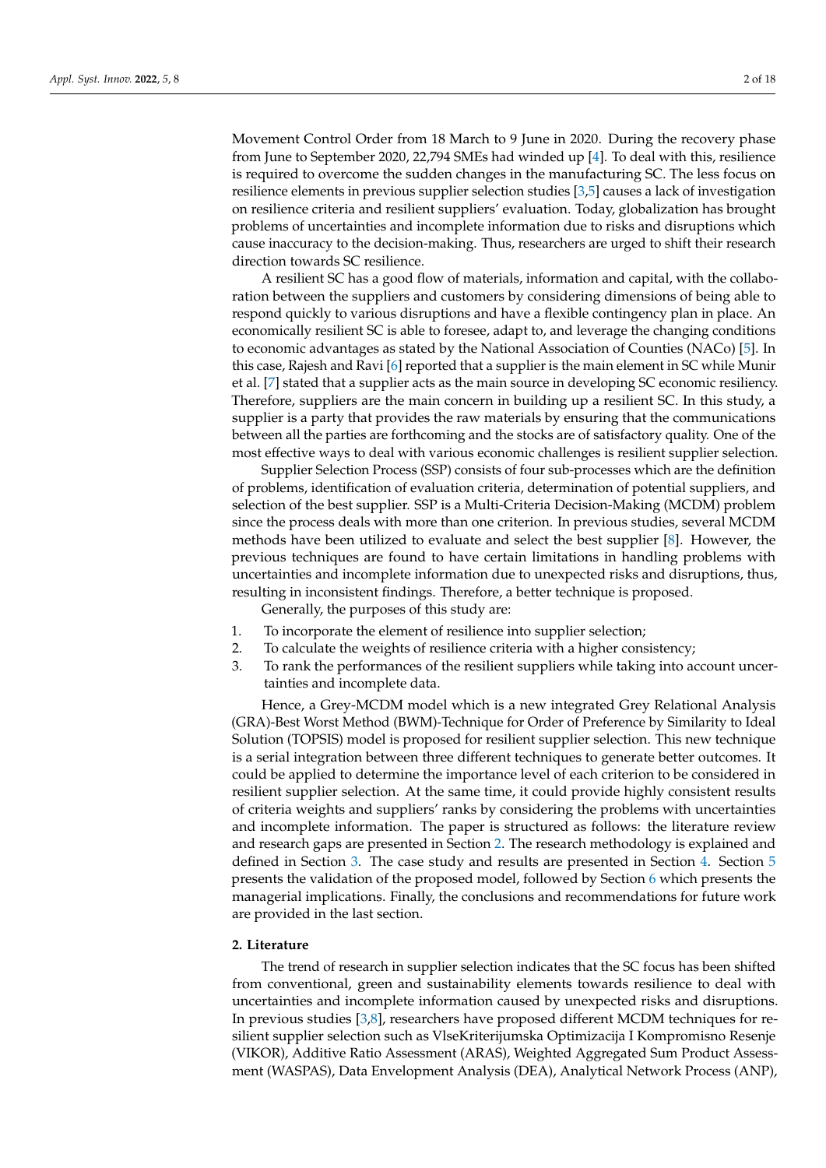Movement Control Order from 18 March to 9 June in 2020. During the recovery phase from June to September 2020, 22,794 SMEs had winded up [\[4\]](#page-16-0). To deal with this, resilience is required to overcome the sudden changes in the manufacturing SC. The less focus on resilience elements in previous supplier selection studies [\[3,](#page-15-2)[5\]](#page-16-1) causes a lack of investigation on resilience criteria and resilient suppliers' evaluation. Today, globalization has brought problems of uncertainties and incomplete information due to risks and disruptions which cause inaccuracy to the decision-making. Thus, researchers are urged to shift their research direction towards SC resilience.

A resilient SC has a good flow of materials, information and capital, with the collaboration between the suppliers and customers by considering dimensions of being able to respond quickly to various disruptions and have a flexible contingency plan in place. An economically resilient SC is able to foresee, adapt to, and leverage the changing conditions to economic advantages as stated by the National Association of Counties (NACo) [\[5\]](#page-16-1). In this case, Rajesh and Ravi [\[6\]](#page-16-2) reported that a supplier is the main element in SC while Munir et al. [\[7\]](#page-16-3) stated that a supplier acts as the main source in developing SC economic resiliency. Therefore, suppliers are the main concern in building up a resilient SC. In this study, a supplier is a party that provides the raw materials by ensuring that the communications between all the parties are forthcoming and the stocks are of satisfactory quality. One of the most effective ways to deal with various economic challenges is resilient supplier selection.

Supplier Selection Process (SSP) consists of four sub-processes which are the definition of problems, identification of evaluation criteria, determination of potential suppliers, and selection of the best supplier. SSP is a Multi-Criteria Decision-Making (MCDM) problem since the process deals with more than one criterion. In previous studies, several MCDM methods have been utilized to evaluate and select the best supplier [\[8\]](#page-16-4). However, the previous techniques are found to have certain limitations in handling problems with uncertainties and incomplete information due to unexpected risks and disruptions, thus, resulting in inconsistent findings. Therefore, a better technique is proposed.

Generally, the purposes of this study are:

- 1. To incorporate the element of resilience into supplier selection;
- 2. To calculate the weights of resilience criteria with a higher consistency;
- 3. To rank the performances of the resilient suppliers while taking into account uncertainties and incomplete data.

Hence, a Grey-MCDM model which is a new integrated Grey Relational Analysis (GRA)-Best Worst Method (BWM)-Technique for Order of Preference by Similarity to Ideal Solution (TOPSIS) model is proposed for resilient supplier selection. This new technique is a serial integration between three different techniques to generate better outcomes. It could be applied to determine the importance level of each criterion to be considered in resilient supplier selection. At the same time, it could provide highly consistent results of criteria weights and suppliers' ranks by considering the problems with uncertainties and incomplete information. The paper is structured as follows: the literature review and research gaps are presented in Section [2.](#page-1-0) The research methodology is explained and defined in Section [3.](#page-4-0) The case study and results are presented in Section [4.](#page-9-0) Section [5](#page-13-0) presents the validation of the proposed model, followed by Section [6](#page-14-0) which presents the managerial implications. Finally, the conclusions and recommendations for future work are provided in the last section.

#### <span id="page-1-0"></span>**2. Literature**

The trend of research in supplier selection indicates that the SC focus has been shifted from conventional, green and sustainability elements towards resilience to deal with uncertainties and incomplete information caused by unexpected risks and disruptions. In previous studies [\[3,](#page-15-2)[8\]](#page-16-4), researchers have proposed different MCDM techniques for resilient supplier selection such as VlseKriterijumska Optimizacija I Kompromisno Resenje (VIKOR), Additive Ratio Assessment (ARAS), Weighted Aggregated Sum Product Assessment (WASPAS), Data Envelopment Analysis (DEA), Analytical Network Process (ANP),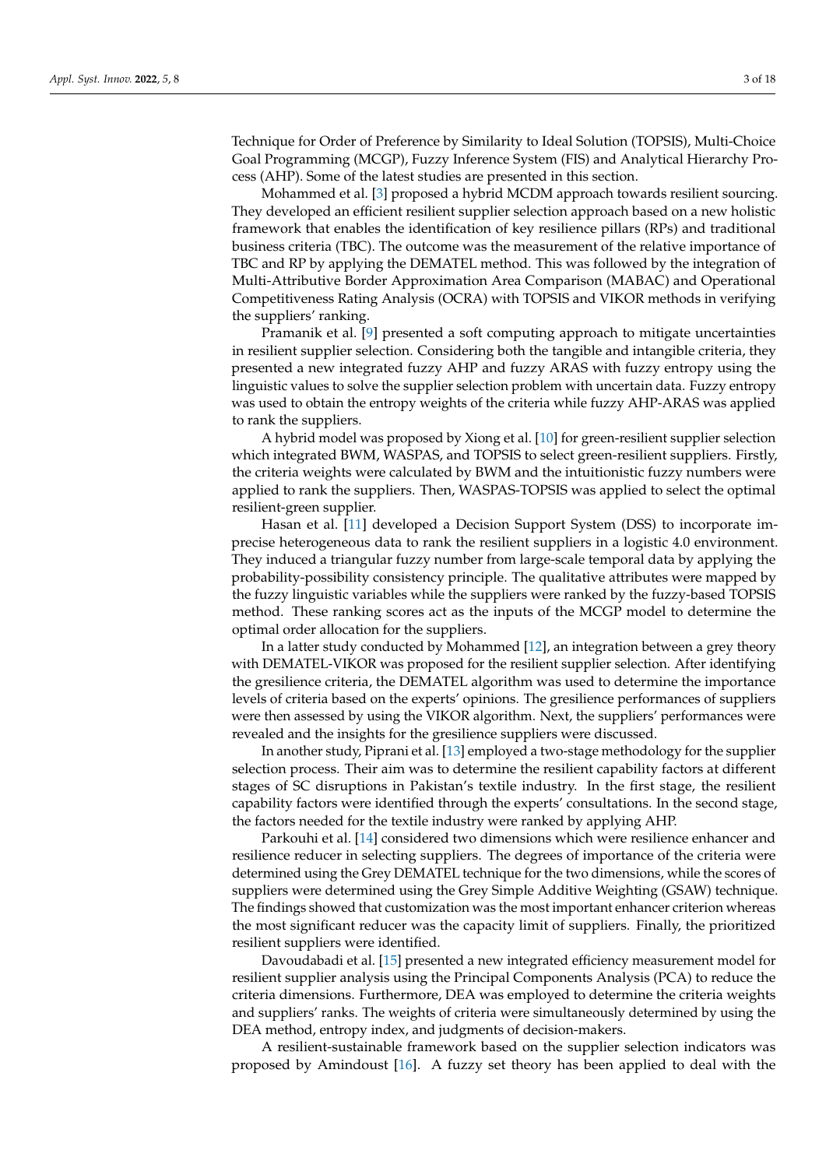Technique for Order of Preference by Similarity to Ideal Solution (TOPSIS), Multi-Choice Goal Programming (MCGP), Fuzzy Inference System (FIS) and Analytical Hierarchy Process (AHP). Some of the latest studies are presented in this section.

Mohammed et al. [\[3\]](#page-15-2) proposed a hybrid MCDM approach towards resilient sourcing. They developed an efficient resilient supplier selection approach based on a new holistic framework that enables the identification of key resilience pillars (RPs) and traditional business criteria (TBC). The outcome was the measurement of the relative importance of TBC and RP by applying the DEMATEL method. This was followed by the integration of Multi-Attributive Border Approximation Area Comparison (MABAC) and Operational Competitiveness Rating Analysis (OCRA) with TOPSIS and VIKOR methods in verifying the suppliers' ranking.

Pramanik et al. [\[9\]](#page-16-5) presented a soft computing approach to mitigate uncertainties in resilient supplier selection. Considering both the tangible and intangible criteria, they presented a new integrated fuzzy AHP and fuzzy ARAS with fuzzy entropy using the linguistic values to solve the supplier selection problem with uncertain data. Fuzzy entropy was used to obtain the entropy weights of the criteria while fuzzy AHP-ARAS was applied to rank the suppliers.

A hybrid model was proposed by Xiong et al. [\[10\]](#page-16-6) for green-resilient supplier selection which integrated BWM, WASPAS, and TOPSIS to select green-resilient suppliers. Firstly, the criteria weights were calculated by BWM and the intuitionistic fuzzy numbers were applied to rank the suppliers. Then, WASPAS-TOPSIS was applied to select the optimal resilient-green supplier.

Hasan et al. [\[11\]](#page-16-7) developed a Decision Support System (DSS) to incorporate imprecise heterogeneous data to rank the resilient suppliers in a logistic 4.0 environment. They induced a triangular fuzzy number from large-scale temporal data by applying the probability-possibility consistency principle. The qualitative attributes were mapped by the fuzzy linguistic variables while the suppliers were ranked by the fuzzy-based TOPSIS method. These ranking scores act as the inputs of the MCGP model to determine the optimal order allocation for the suppliers.

In a latter study conducted by Mohammed [\[12\]](#page-16-8), an integration between a grey theory with DEMATEL-VIKOR was proposed for the resilient supplier selection. After identifying the gresilience criteria, the DEMATEL algorithm was used to determine the importance levels of criteria based on the experts' opinions. The gresilience performances of suppliers were then assessed by using the VIKOR algorithm. Next, the suppliers' performances were revealed and the insights for the gresilience suppliers were discussed.

In another study, Piprani et al. [\[13\]](#page-16-9) employed a two-stage methodology for the supplier selection process. Their aim was to determine the resilient capability factors at different stages of SC disruptions in Pakistan's textile industry. In the first stage, the resilient capability factors were identified through the experts' consultations. In the second stage, the factors needed for the textile industry were ranked by applying AHP.

Parkouhi et al. [\[14\]](#page-16-10) considered two dimensions which were resilience enhancer and resilience reducer in selecting suppliers. The degrees of importance of the criteria were determined using the Grey DEMATEL technique for the two dimensions, while the scores of suppliers were determined using the Grey Simple Additive Weighting (GSAW) technique. The findings showed that customization was the most important enhancer criterion whereas the most significant reducer was the capacity limit of suppliers. Finally, the prioritized resilient suppliers were identified.

Davoudabadi et al. [\[15\]](#page-16-11) presented a new integrated efficiency measurement model for resilient supplier analysis using the Principal Components Analysis (PCA) to reduce the criteria dimensions. Furthermore, DEA was employed to determine the criteria weights and suppliers' ranks. The weights of criteria were simultaneously determined by using the DEA method, entropy index, and judgments of decision-makers.

A resilient-sustainable framework based on the supplier selection indicators was proposed by Amindoust [\[16\]](#page-16-12). A fuzzy set theory has been applied to deal with the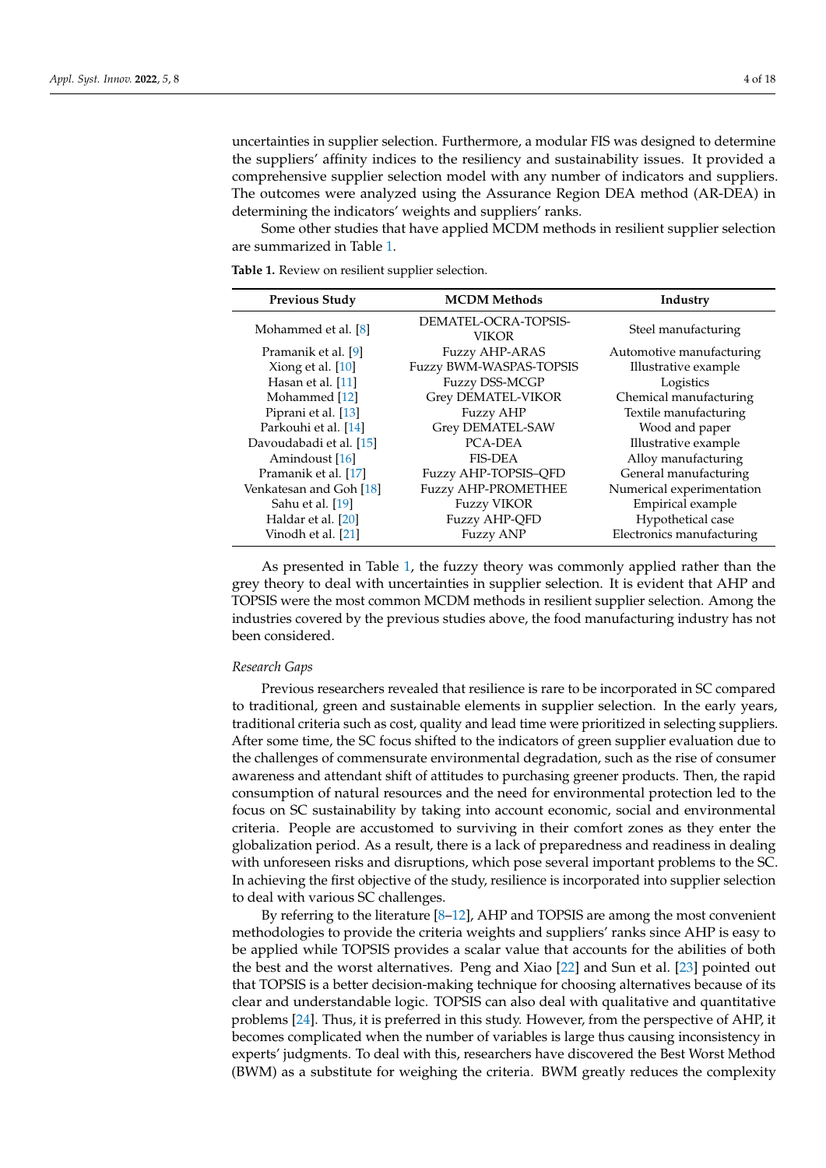uncertainties in supplier selection. Furthermore, a modular FIS was designed to determine the suppliers' affinity indices to the resiliency and sustainability issues. It provided a comprehensive supplier selection model with any number of indicators and suppliers. The outcomes were analyzed using the Assurance Region DEA method (AR-DEA) in determining the indicators' weights and suppliers' ranks.

Some other studies that have applied MCDM methods in resilient supplier selection are summarized in Table [1.](#page-3-0)

**Previous Study MCDM Methods MCDM Methods** Industry Mohammed et al. [\[8\]](#page-16-4) DEMATEL-OCRA-TOPSIS-VIKOR Steel manufacturing Pramanik et al. [\[9\]](#page-16-5) Fuzzy AHP-ARAS Automotive manufacturing Xiong et al. [\[10\]](#page-16-6) Fuzzy BWM-WASPAS-TOPSIS Illustrative example Hasan et al. [\[11\]](#page-16-7) Fuzzy DSS-MCGP Logistics Mohammed [\[12\]](#page-16-8) Grey DEMATEL-VIKOR Chemical manufacturing Piprani et al. [\[13\]](#page-16-9) Fuzzy AHP Textile manufacturing Parkouhi et al. [\[14\]](#page-16-10) Grey DEMATEL-SAW Wood and paper Davoudabadi et al. [\[15\]](#page-16-11) PCA-DEA Illustrative example Amindoust [\[16\]](#page-16-12) **FIS-DEA** Alloy manufacturing Pramanik et al. [\[17\]](#page-16-13) Fuzzy AHP-TOPSIS-QFD General manufacturing Venkatesan and Goh [\[18\]](#page-16-14) Fuzzy AHP-PROMETHEE Numerical experimentation Sahu et al. [\[19\]](#page-16-15) **Fuzzy VIKOR** Empirical example Haldar et al. [\[20\]](#page-16-16) **Fuzzy AHP-QFD** Hypothetical case Vinodh et al. [\[21\]](#page-16-17) **Fuzzy ANP** Electronics manufacturing

<span id="page-3-0"></span>**Table 1.** Review on resilient supplier selection.

As presented in Table [1,](#page-3-0) the fuzzy theory was commonly applied rather than the grey theory to deal with uncertainties in supplier selection. It is evident that AHP and TOPSIS were the most common MCDM methods in resilient supplier selection. Among the industries covered by the previous studies above, the food manufacturing industry has not been considered.

#### *Research Gaps*

Previous researchers revealed that resilience is rare to be incorporated in SC compared to traditional, green and sustainable elements in supplier selection. In the early years, traditional criteria such as cost, quality and lead time were prioritized in selecting suppliers. After some time, the SC focus shifted to the indicators of green supplier evaluation due to the challenges of commensurate environmental degradation, such as the rise of consumer awareness and attendant shift of attitudes to purchasing greener products. Then, the rapid consumption of natural resources and the need for environmental protection led to the focus on SC sustainability by taking into account economic, social and environmental criteria. People are accustomed to surviving in their comfort zones as they enter the globalization period. As a result, there is a lack of preparedness and readiness in dealing with unforeseen risks and disruptions, which pose several important problems to the SC. In achieving the first objective of the study, resilience is incorporated into supplier selection to deal with various SC challenges.

By referring to the literature [\[8–](#page-16-4)[12\]](#page-16-8), AHP and TOPSIS are among the most convenient methodologies to provide the criteria weights and suppliers' ranks since AHP is easy to be applied while TOPSIS provides a scalar value that accounts for the abilities of both the best and the worst alternatives. Peng and Xiao [\[22\]](#page-16-18) and Sun et al. [\[23\]](#page-16-19) pointed out that TOPSIS is a better decision-making technique for choosing alternatives because of its clear and understandable logic. TOPSIS can also deal with qualitative and quantitative problems [\[24\]](#page-16-20). Thus, it is preferred in this study. However, from the perspective of AHP, it becomes complicated when the number of variables is large thus causing inconsistency in experts' judgments. To deal with this, researchers have discovered the Best Worst Method (BWM) as a substitute for weighing the criteria. BWM greatly reduces the complexity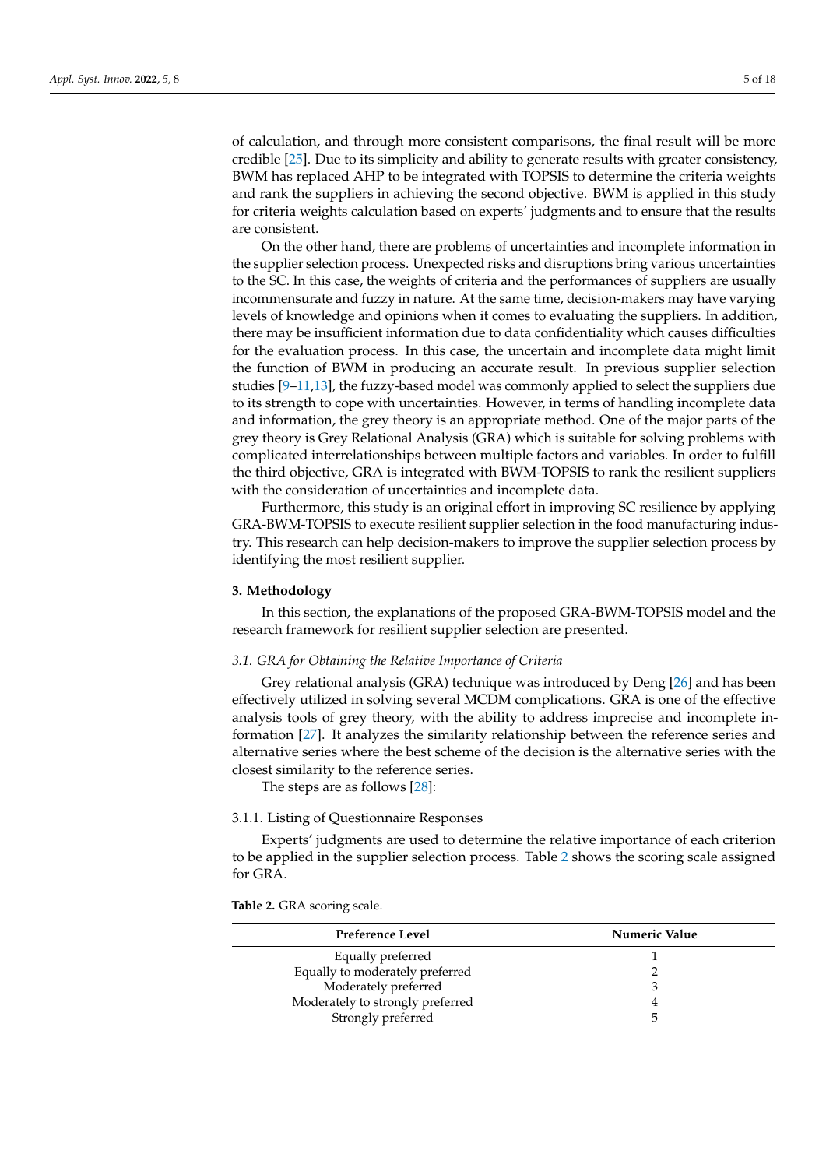of calculation, and through more consistent comparisons, the final result will be more credible [\[25\]](#page-16-21). Due to its simplicity and ability to generate results with greater consistency, BWM has replaced AHP to be integrated with TOPSIS to determine the criteria weights and rank the suppliers in achieving the second objective. BWM is applied in this study for criteria weights calculation based on experts' judgments and to ensure that the results are consistent.

On the other hand, there are problems of uncertainties and incomplete information in the supplier selection process. Unexpected risks and disruptions bring various uncertainties to the SC. In this case, the weights of criteria and the performances of suppliers are usually incommensurate and fuzzy in nature. At the same time, decision-makers may have varying levels of knowledge and opinions when it comes to evaluating the suppliers. In addition, there may be insufficient information due to data confidentiality which causes difficulties for the evaluation process. In this case, the uncertain and incomplete data might limit the function of BWM in producing an accurate result. In previous supplier selection studies [\[9–](#page-16-5)[11](#page-16-7)[,13\]](#page-16-9), the fuzzy-based model was commonly applied to select the suppliers due to its strength to cope with uncertainties. However, in terms of handling incomplete data and information, the grey theory is an appropriate method. One of the major parts of the grey theory is Grey Relational Analysis (GRA) which is suitable for solving problems with complicated interrelationships between multiple factors and variables. In order to fulfill the third objective, GRA is integrated with BWM-TOPSIS to rank the resilient suppliers with the consideration of uncertainties and incomplete data.

Furthermore, this study is an original effort in improving SC resilience by applying GRA-BWM-TOPSIS to execute resilient supplier selection in the food manufacturing industry. This research can help decision-makers to improve the supplier selection process by identifying the most resilient supplier.

#### <span id="page-4-0"></span>**3. Methodology**

In this section, the explanations of the proposed GRA-BWM-TOPSIS model and the research framework for resilient supplier selection are presented.

## *3.1. GRA for Obtaining the Relative Importance of Criteria*

Grey relational analysis (GRA) technique was introduced by Deng [\[26\]](#page-16-22) and has been effectively utilized in solving several MCDM complications. GRA is one of the effective analysis tools of grey theory, with the ability to address imprecise and incomplete information [\[27\]](#page-16-23). It analyzes the similarity relationship between the reference series and alternative series where the best scheme of the decision is the alternative series with the closest similarity to the reference series.

The steps are as follows [\[28\]](#page-16-24):

## 3.1.1. Listing of Questionnaire Responses

Experts' judgments are used to determine the relative importance of each criterion to be applied in the supplier selection process. Table [2](#page-4-1) shows the scoring scale assigned for GRA.

<span id="page-4-1"></span>**Table 2.** GRA scoring scale.

| Preference Level                 | Numeric Value |
|----------------------------------|---------------|
| Equally preferred                |               |
| Equally to moderately preferred  |               |
| Moderately preferred             |               |
| Moderately to strongly preferred |               |
| Strongly preferred               | h             |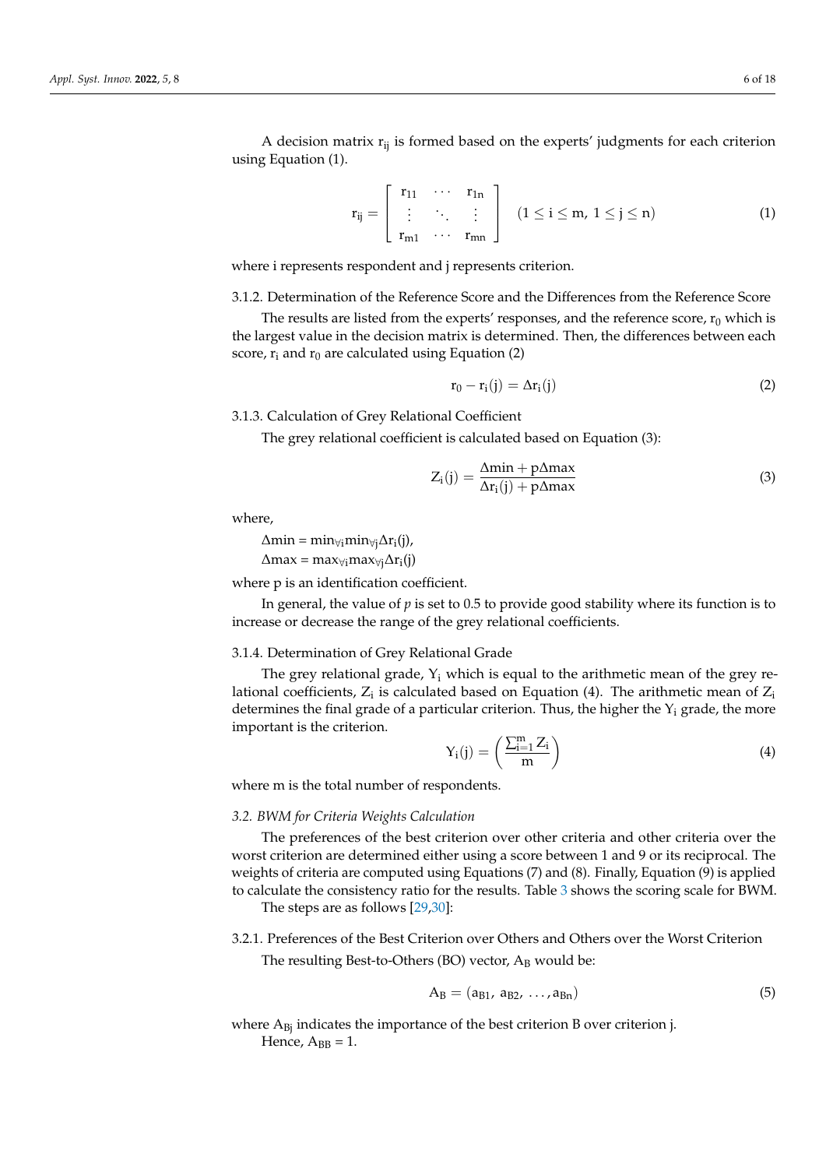A decision matrix  $r_{ij}$  is formed based on the experts' judgments for each criterion using Equation (1).

$$
\mathbf{r}_{ij} = \left[ \begin{array}{ccc} \mathbf{r}_{11} & \cdots & \mathbf{r}_{1n} \\ \vdots & \ddots & \vdots \\ \mathbf{r}_{m1} & \cdots & \mathbf{r}_{mn} \end{array} \right] \quad (1 \leq i \leq m, \ 1 \leq j \leq n) \tag{1}
$$

where i represents respondent and j represents criterion.

3.1.2. Determination of the Reference Score and the Differences from the Reference Score

The results are listed from the experts' responses, and the reference score,  $r_0$  which is the largest value in the decision matrix is determined. Then, the differences between each score,  $r_i$  and  $r_0$  are calculated using Equation (2)

$$
r_0 - r_i(j) = \Delta r_i(j) \tag{2}
$$

3.1.3. Calculation of Grey Relational Coefficient

The grey relational coefficient is calculated based on Equation (3):

$$
Z_{i}(j) = \frac{\Delta \min + p \Delta \max}{\Delta r_{i}(j) + p \Delta \max}
$$
\n(3)

where,

 $\Delta \text{min} = \text{min}_{\forall j} \text{min}_{\forall j} \Delta \text{r}_i(j)$ ,  $\Delta$ max = max<sub>∀i</sub>max<sub>∀j</sub> $\Delta$ r<sub>i</sub>(j)

where p is an identification coefficient.

In general, the value of *p* is set to 0.5 to provide good stability where its function is to increase or decrease the range of the grey relational coefficients.

#### 3.1.4. Determination of Grey Relational Grade

The grey relational grade,  $Y_i$  which is equal to the arithmetic mean of the grey relational coefficients,  $Z_i$  is calculated based on Equation (4). The arithmetic mean of  $Z_i$ determines the final grade of a particular criterion. Thus, the higher the  $Y_i$  grade, the more important is the criterion.

$$
Y_i(j) = \left(\frac{\sum_{i=1}^m Z_i}{m}\right) \tag{4}
$$

where m is the total number of respondents.

### *3.2. BWM for Criteria Weights Calculation*

The preferences of the best criterion over other criteria and other criteria over the worst criterion are determined either using a score between 1 and 9 or its reciprocal. The weights of criteria are computed using Equations (7) and (8). Finally, Equation (9) is applied to calculate the consistency ratio for the results. Table [3](#page-6-0) shows the scoring scale for BWM.

The steps are as follows [\[29,](#page-16-25)[30\]](#page-16-26):

## 3.2.1. Preferences of the Best Criterion over Others and Others over the Worst Criterion

The resulting Best-to-Others (BO) vector,  $A_B$  would be:

$$
A_B = (a_{B1}, a_{B2}, ..., a_{Bn})
$$
 (5)

where  $A_{Bi}$  indicates the importance of the best criterion B over criterion j. Hence,  $A_{BB} = 1$ .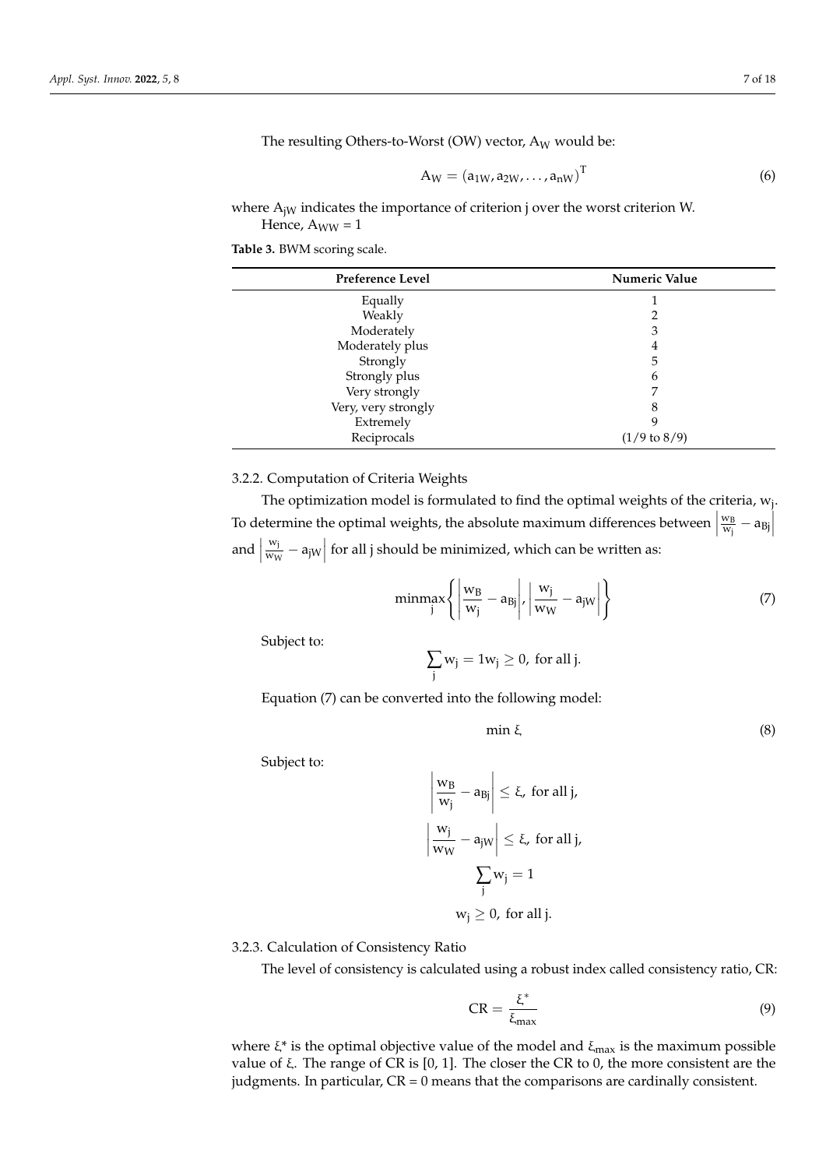The resulting Others-to-Worst (OW) vector,  $A_W$  would be:

$$
A_W = (a_{1W}, a_{2W}, \dots, a_{nW})^T
$$
 (6)

where  $A_{iW}$  indicates the importance of criterion j over the worst criterion W. Hence,  $A_{WW} = 1$ 

<span id="page-6-0"></span>**Table 3.** BWM scoring scale.

| Preference Level    | Numeric Value           |  |  |
|---------------------|-------------------------|--|--|
| Equally             |                         |  |  |
| Weakly              |                         |  |  |
| Moderately          | 3                       |  |  |
| Moderately plus     | 4                       |  |  |
| Strongly            | 5                       |  |  |
| Strongly plus       | 6                       |  |  |
| Very strongly       | 7                       |  |  |
| Very, very strongly | 8                       |  |  |
| Extremely           |                         |  |  |
| Reciprocals         | $(1/9 \text{ to } 8/9)$ |  |  |

# 3.2.2. Computation of Criteria Weights

The optimization model is formulated to find the optimal weights of the criteria,  $\mathrm{w_{j}.}$ To determine the optimal weights, the absolute maximum differences between  $\vert$ w<sup>B</sup>  $\frac{W_B}{W_j} - a_{Bj}$ and  $\Big|$ wj  $\frac{w_j}{w_w} - a_{jW}$  for all j should be minimized, which can be written as:

$$
\underset{\text{j}}{\text{minmax}} \left\{ \left| \frac{w_B}{w_j} - a_B \right|, \left| \frac{w_j}{w_W} - a_j \right| \right\} \tag{7}
$$

Subject to:

$$
\sum_j w_j = 1 w_j \geq 0, \text{ for all } j.
$$

Equation (7) can be converted into the following model:

$$
\min \xi \tag{8}
$$

Subject to:

$$
\left| \frac{w_B}{w_j} - a_{Bj} \right| \le \xi, \text{ for all } j,
$$

$$
\left| \frac{w_j}{w_W} - a_{jW} \right| \le \xi, \text{ for all } j,
$$

$$
\sum_j w_j = 1
$$

$$
w_j \ge 0, \text{ for all } j.
$$

## 3.2.3. Calculation of Consistency Ratio

The level of consistency is calculated using a robust index called consistency ratio, CR:

$$
CR = \frac{\xi^*}{\xi_{\text{max}}} \tag{9}
$$

where  $\xi^*$  is the optimal objective value of the model and  $\xi_{\text{max}}$  is the maximum possible value of ξ. The range of CR is  $[0, 1]$ . The closer the CR to 0, the more consistent are the judgments. In particular,  $CR = 0$  means that the comparisons are cardinally consistent.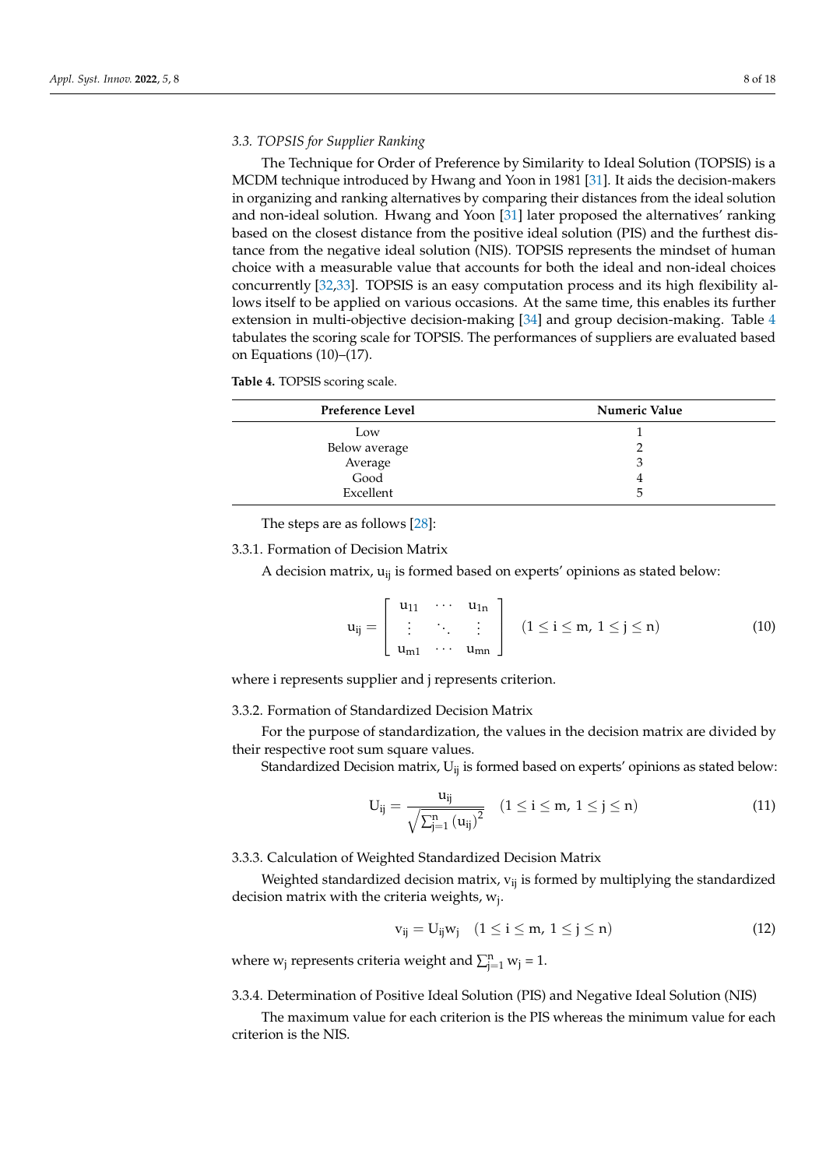### *3.3. TOPSIS for Supplier Ranking*

The Technique for Order of Preference by Similarity to Ideal Solution (TOPSIS) is a MCDM technique introduced by Hwang and Yoon in 1981 [\[31\]](#page-16-27). It aids the decision-makers in organizing and ranking alternatives by comparing their distances from the ideal solution and non-ideal solution. Hwang and Yoon [\[31\]](#page-16-27) later proposed the alternatives' ranking based on the closest distance from the positive ideal solution (PIS) and the furthest distance from the negative ideal solution (NIS). TOPSIS represents the mindset of human choice with a measurable value that accounts for both the ideal and non-ideal choices concurrently [\[32,](#page-16-28)[33\]](#page-17-0). TOPSIS is an easy computation process and its high flexibility allows itself to be applied on various occasions. At the same time, this enables its further extension in multi-objective decision-making [\[34\]](#page-17-1) and group decision-making. Table [4](#page-7-0) tabulates the scoring scale for TOPSIS. The performances of suppliers are evaluated based on Equations (10)–(17).

<span id="page-7-0"></span>

| Table 4. TOPSIS scoring scale. |  |  |
|--------------------------------|--|--|
|                                |  |  |

| Preference Level         | Numeric Value |
|--------------------------|---------------|
| Low                      |               |
|                          |               |
| Below average<br>Average | Ć             |
| Good                     | 4             |
| Excellent                | 5             |

The steps are as follows [\[28\]](#page-16-24):

#### 3.3.1. Formation of Decision Matrix

A decision matrix,  $u_{ii}$  is formed based on experts' opinions as stated below:

$$
u_{ij} = \left[ \begin{array}{ccc} u_{11} & \cdots & u_{1n} \\ \vdots & \ddots & \vdots \\ u_{m1} & \cdots & u_{mn} \end{array} \right] \quad (1 \leq i \leq m, \ 1 \leq j \leq n) \tag{10}
$$

where i represents supplier and j represents criterion.

## 3.3.2. Formation of Standardized Decision Matrix

For the purpose of standardization, the values in the decision matrix are divided by their respective root sum square values.

Standardized Decision matrix,  $U_{ii}$  is formed based on experts' opinions as stated below:

$$
U_{ij} = \frac{u_{ij}}{\sqrt{\sum_{j=1}^{n} (u_{ij})^2}} \quad (1 \leq i \leq m, \ 1 \leq j \leq n)
$$
 (11)

## 3.3.3. Calculation of Weighted Standardized Decision Matrix

Weighted standardized decision matrix,  $v_{ij}$  is formed by multiplying the standardized decision matrix with the criteria weights, w<sub>j</sub>.

$$
v_{ij} = U_{ij} w_j \quad (1 \le i \le m, \ 1 \le j \le n)
$$
\n
$$
(12)
$$

where  $w_j$  represents criteria weight and  $\sum_{j=1}^{n} w_j = 1$ .

3.3.4. Determination of Positive Ideal Solution (PIS) and Negative Ideal Solution (NIS)

The maximum value for each criterion is the PIS whereas the minimum value for each criterion is the NIS.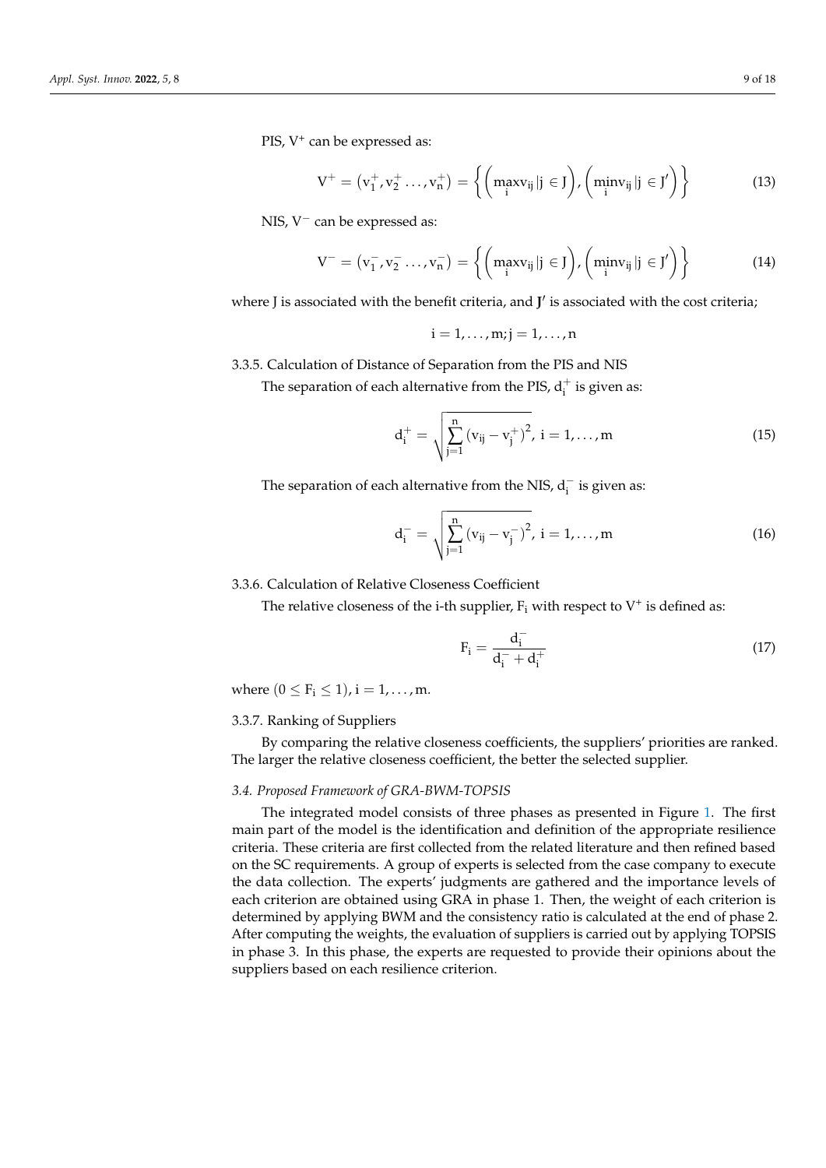PIS, V<sup>+</sup> can be expressed as:

$$
V^+ = (v_1^+, v_2^+ \dots, v_n^+) = \left\{ \left( \max_{i} v_{ij} | j \in J \right), \left( \min_{i} v_{ij} | j \in J' \right) \right\}
$$
(13)

NIS, V<sup>−</sup> can be expressed as:

$$
V^- = (v_1^-, v_2^- \dots, v_n^-) = \left\{ \left( \max_i v_{ij} | j \in J \right), \left( \min_i v_{ij} | j \in J' \right) \right\}
$$
(14)

where J is associated with the benefit criteria, and J' is associated with the cost criteria;

$$
i=1,\ldots,m; j=1,\ldots,n
$$

3.3.5. Calculation of Distance of Separation from the PIS and NIS

The separation of each alternative from the PIS,  $d_i^+$  is given as:

$$
d_i^+ = \sqrt{\sum_{j=1}^n (v_{ij} - v_j^+)^2}, \ i = 1, ..., m
$$
 (15)

The separation of each alternative from the NIS,  $d_i^-$  is given as:

$$
d_{i}^{-} = \sqrt{\sum_{j=1}^{n} (v_{ij} - v_{j}^{-})^{2}}, i = 1,...,m
$$
 (16)

## 3.3.6. Calculation of Relative Closeness Coefficient

The relative closeness of the i-th supplier,  $F_i$  with respect to  $V^+$  is defined as:

$$
F_i = \frac{d_i^-}{d_i^- + d_i^+}
$$
 (17)

where  $(0 \le F_i \le 1)$ ,  $i = 1, ..., m$ .

## 3.3.7. Ranking of Suppliers

By comparing the relative closeness coefficients, the suppliers' priorities are ranked. The larger the relative closeness coefficient, the better the selected supplier.

### *3.4. Proposed Framework of GRA-BWM-TOPSIS*

The integrated model consists of three phases as presented in Figure [1.](#page-9-1) The first main part of the model is the identification and definition of the appropriate resilience criteria. These criteria are first collected from the related literature and then refined based on the SC requirements. A group of experts is selected from the case company to execute the data collection. The experts' judgments are gathered and the importance levels of each criterion are obtained using GRA in phase 1. Then, the weight of each criterion is determined by applying BWM and the consistency ratio is calculated at the end of phase 2. After computing the weights, the evaluation of suppliers is carried out by applying TOPSIS in phase 3. In this phase, the experts are requested to provide their opinions about the suppliers based on each resilience criterion.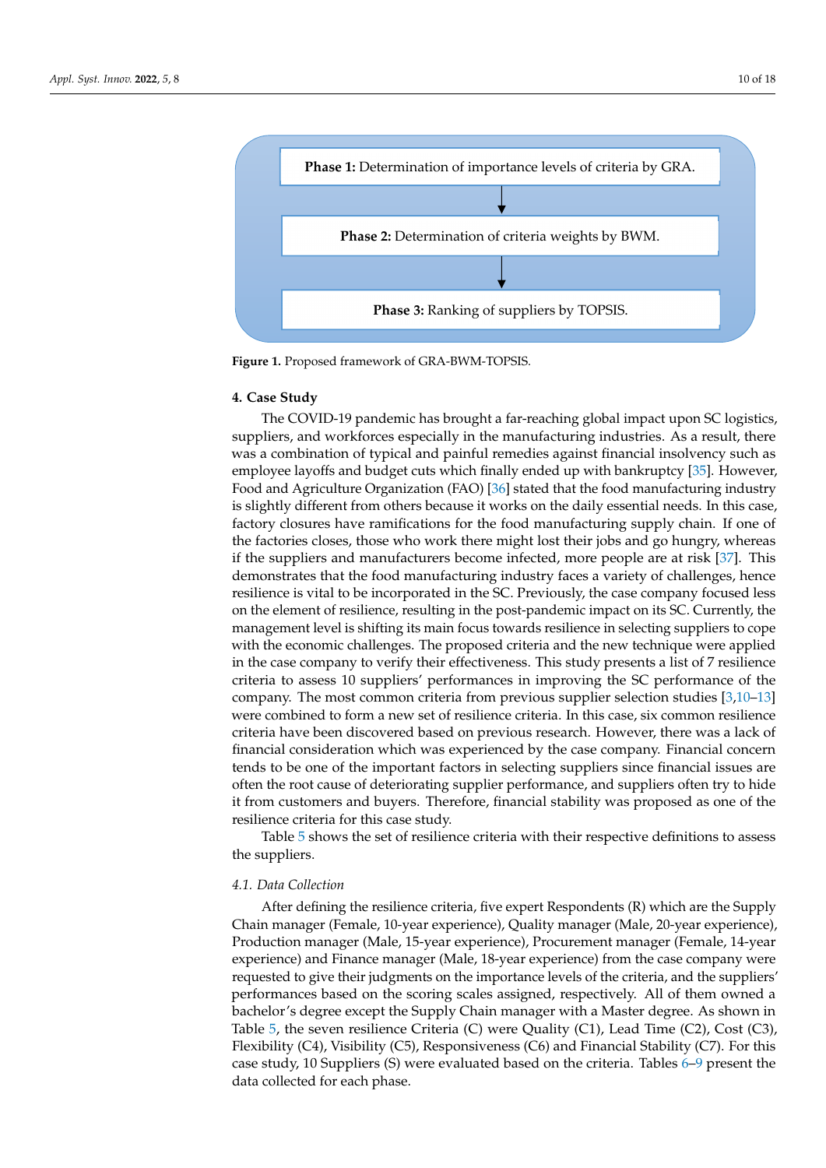<span id="page-9-1"></span>

**Figure 1.** Proposed framework of GRA-BWM-TOPSIS.

### <span id="page-9-0"></span>**4. Case Study**

The COVID-19 pandemic has brought a far-reaching global impact upon SC logistics, suppliers, and workforces especially in the manufacturing industries. As a result, there was a combination of typical and painful remedies against financial insolvency such as employee layoffs and budget cuts which finally ended up with bankruptcy [\[35\]](#page-17-2). However, Food and Agriculture Organization (FAO) [\[36\]](#page-17-3) stated that the food manufacturing industry is slightly different from others because it works on the daily essential needs. In this case, factory closures have ramifications for the food manufacturing supply chain. If one of the factories closes, those who work there might lost their jobs and go hungry, whereas if the suppliers and manufacturers become infected, more people are at risk [\[37\]](#page-17-4). This demonstrates that the food manufacturing industry faces a variety of challenges, hence resilience is vital to be incorporated in the SC. Previously, the case company focused less on the element of resilience, resulting in the post-pandemic impact on its SC. Currently, the management level is shifting its main focus towards resilience in selecting suppliers to cope with the economic challenges. The proposed criteria and the new technique were applied in the case company to verify their effectiveness. This study presents a list of 7 resilience criteria to assess 10 suppliers' performances in improving the SC performance of the company. The most common criteria from previous supplier selection studies [\[3](#page-15-2)[,10–](#page-16-6)[13\]](#page-16-9) were combined to form a new set of resilience criteria. In this case, six common resilience criteria have been discovered based on previous research. However, there was a lack of financial consideration which was experienced by the case company. Financial concern tends to be one of the important factors in selecting suppliers since financial issues are often the root cause of deteriorating supplier performance, and suppliers often try to hide it from customers and buyers. Therefore, financial stability was proposed as one of the resilience criteria for this case study.

Table [5](#page-10-0) shows the set of resilience criteria with their respective definitions to assess the suppliers.

### *4.1. Data Collection*

After defining the resilience criteria, five expert Respondents (R) which are the Supply Chain manager (Female, 10-year experience), Quality manager (Male, 20-year experience), Production manager (Male, 15-year experience), Procurement manager (Female, 14-year experience) and Finance manager (Male, 18-year experience) from the case company were requested to give their judgments on the importance levels of the criteria, and the suppliers' performances based on the scoring scales assigned, respectively. All of them owned a bachelor's degree except the Supply Chain manager with a Master degree. As shown in Table [5,](#page-10-0) the seven resilience Criteria  $(C)$  were Quality  $(C1)$ , Lead Time  $(C2)$ , Cost  $(C3)$ , Flexibility (C4), Visibility (C5), Responsiveness (C6) and Financial Stability (C7). For this case study, 10 Suppliers (S) were evaluated based on the criteria. Tables [6](#page-10-1)[–9](#page-10-2) present the data collected for each phase.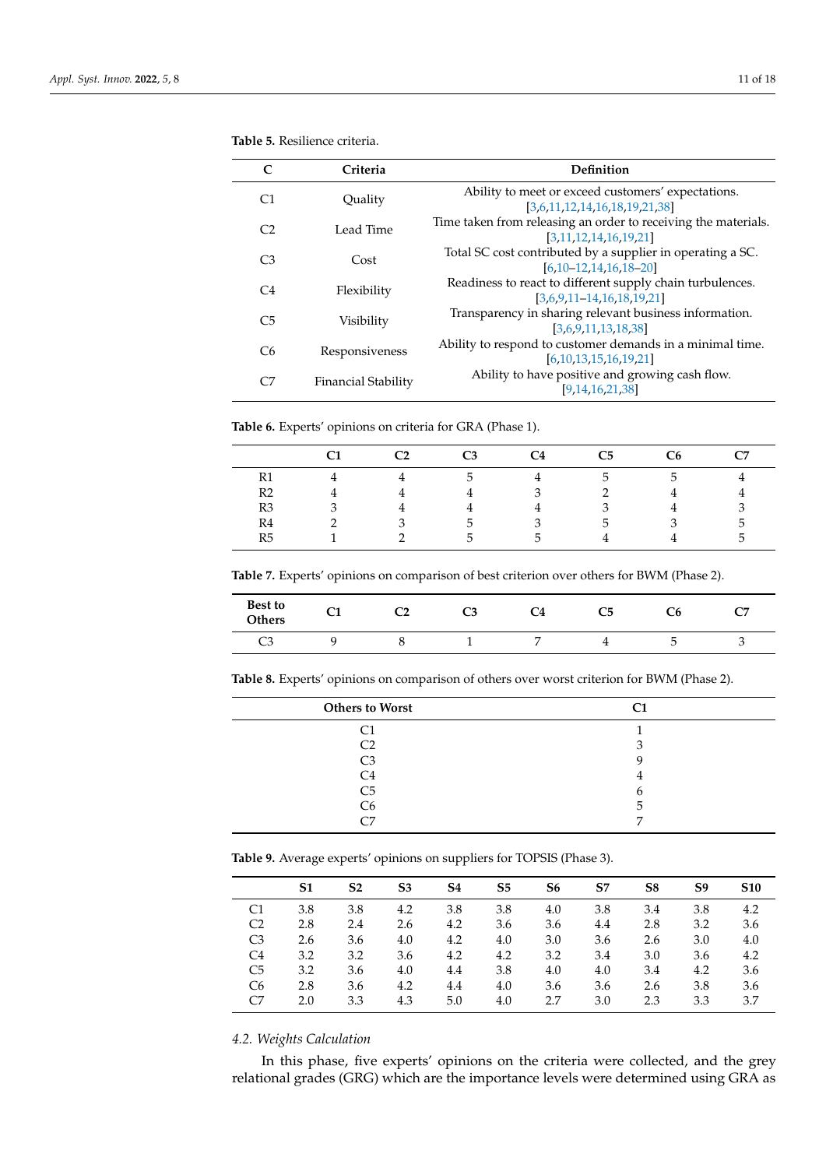|    | Criteria            | Definition                                                                                |
|----|---------------------|-------------------------------------------------------------------------------------------|
| C1 | Quality             | Ability to meet or exceed customers' expectations.<br>[3,6,11,12,14,16,18,19,21,38]       |
| C2 | Lead Time           | Time taken from releasing an order to receiving the materials.<br>[3.11.12.14.16.19.21]   |
| C3 | Cost                | Total SC cost contributed by a supplier in operating a SC.<br>$[6.10 - 12.14.16.18 - 20]$ |
| C4 | Flexibility         | Readiness to react to different supply chain turbulences.<br>$[3,6,9,11-14,16,18,19,21]$  |
| C5 | Visibility          | Transparency in sharing relevant business information.<br>[3,6.9,11,13,18,38]             |
| C6 | Responsiveness      | Ability to respond to customer demands in a minimal time.<br>[6,10,13,15,16,19,21]        |
| C7 | Financial Stability | Ability to have positive and growing cash flow.<br>[9, 14, 16, 21, 38]                    |

<span id="page-10-0"></span>**Table 5.** Resilience criteria.

<span id="page-10-1"></span>**Table 6.** Experts' opinions on criteria for GRA (Phase 1).

|    | $\mathbb C$ 2 | C3            | C <sub>4</sub> | C5           | C6            | C7 |
|----|---------------|---------------|----------------|--------------|---------------|----|
| R1 |               | $\mathcal{D}$ |                | <sub>5</sub> | $\mathcal{D}$ |    |
| R2 |               |               | 3              |              | 4             |    |
| R3 |               |               |                |              | 4             |    |
| R4 |               | $\mathcal{L}$ | $\mathcal{R}$  | .5           | 3             | .5 |
| R5 |               | $\mathbf{A}$  | h.             |              |               | h  |

**Table 7.** Experts' opinions on comparison of best criterion over others for BWM (Phase 2).

| <b>Best to</b><br>Others | ~<br>ີ | ີ | r<br>ີ | C4 | C5 | ֊ |
|--------------------------|--------|---|--------|----|----|---|
| C3                       |        |   |        |    |    | ∼ |

**Table 8.** Experts' opinions on comparison of others over worst criterion for BWM (Phase 2).

| <b>Others to Worst</b>   |  |
|--------------------------|--|
|                          |  |
| C <sub>2</sub>           |  |
| C <sub>3</sub>           |  |
| C4                       |  |
| C5                       |  |
| C <sub>6</sub>           |  |
| $\overline{\phantom{a}}$ |  |

<span id="page-10-2"></span>**Table 9.** Average experts' opinions on suppliers for TOPSIS (Phase 3).

|                | S1  | S <sub>2</sub> | S <sub>3</sub> | S4  | S5  | S6  | S7  | S8  | S9  | <b>S10</b> |
|----------------|-----|----------------|----------------|-----|-----|-----|-----|-----|-----|------------|
| C1             | 3.8 | 3.8            | 4.2            | 3.8 | 3.8 | 4.0 | 3.8 | 3.4 | 3.8 | 4.2        |
| C <sub>2</sub> | 2.8 | 2.4            | 2.6            | 4.2 | 3.6 | 3.6 | 4.4 | 2.8 | 3.2 | 3.6        |
| C <sub>3</sub> | 2.6 | 3.6            | 4.0            | 4.2 | 4.0 | 3.0 | 3.6 | 2.6 | 3.0 | 4.0        |
| C <sub>4</sub> | 3.2 | 3.2            | 3.6            | 4.2 | 4.2 | 3.2 | 3.4 | 3.0 | 3.6 | 4.2        |
| C <sub>5</sub> | 3.2 | 3.6            | 4.0            | 4.4 | 3.8 | 4.0 | 4.0 | 3.4 | 4.2 | 3.6        |
| C <sub>6</sub> | 2.8 | 3.6            | 4.2            | 4.4 | 4.0 | 3.6 | 3.6 | 2.6 | 3.8 | 3.6        |
| C <sub>7</sub> | 2.0 | 3.3            | 4.3            | 5.0 | 4.0 | 2.7 | 3.0 | 2.3 | 3.3 | 3.7        |
|                |     |                |                |     |     |     |     |     |     |            |

## *4.2. Weights Calculation*

 $\overline{a}$  $\overline{a}$ 

In this phase, five experts' opinions on the criteria were collected, and the grey relational grades (GRG) which are the importance levels were determined using GRA as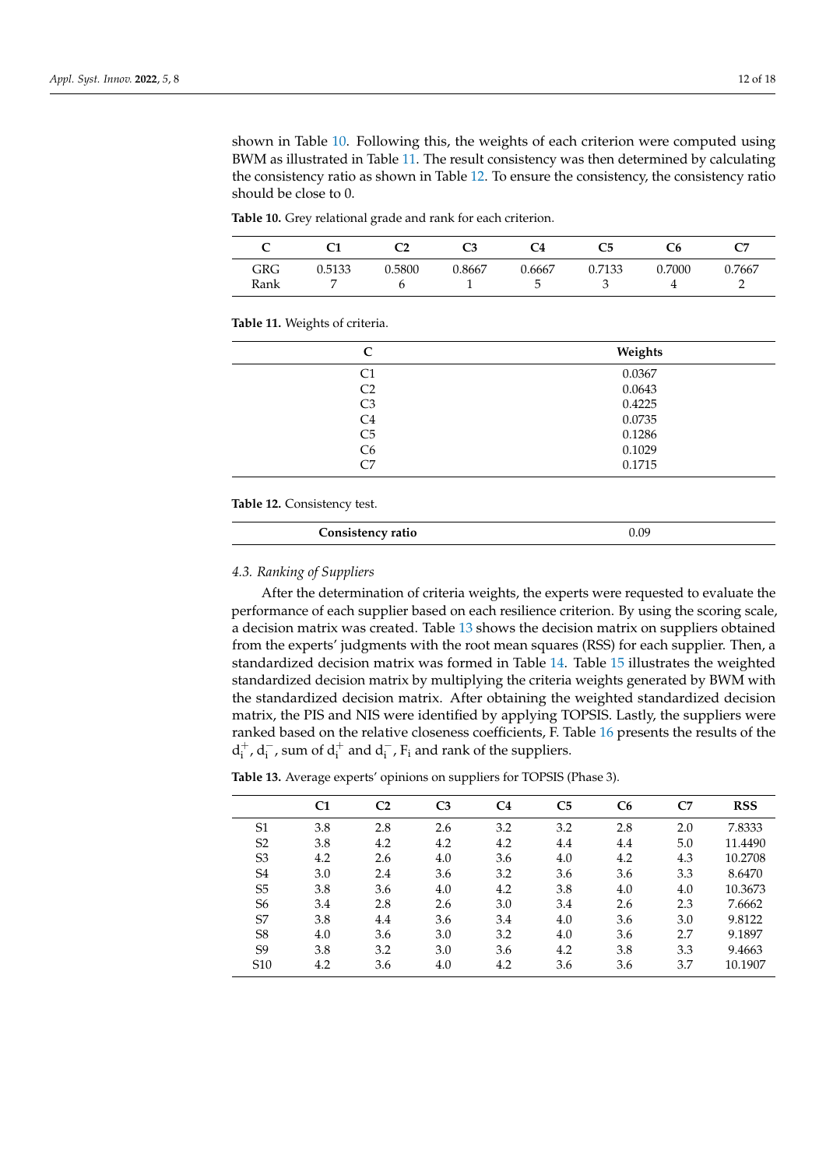shown in Table [10.](#page-11-0) Following this, the weights of each criterion were computed using BWM as illustrated in Table [11.](#page-11-1) The result consistency was then determined by calculating the consistency ratio as shown in Table [12.](#page-11-2) To ensure the consistency, the consistency ratio should be close to 0.

| ∽           |        |        | C3     | C4          | C5     |        | C7     |
|-------------|--------|--------|--------|-------------|--------|--------|--------|
| GRG<br>Rank | 0.5133 | 0.5800 | 0.8667 | 0.6667<br>∽ | 0.7133 | 0.7000 | 0.7667 |

<span id="page-11-0"></span>**Table 10.** Grey relational grade and rank for each criterion.

<span id="page-11-1"></span>**Table 11.** Weights of criteria.

|                | Weights |
|----------------|---------|
| C1             | 0.0367  |
| C <sub>2</sub> | 0.0643  |
| C <sub>3</sub> | 0.4225  |
| C <sub>4</sub> | 0.0735  |
| C <sub>5</sub> | 0.1286  |
| C <sub>6</sub> | 0.1029  |
| C7             | 0.1715  |
|                |         |

### <span id="page-11-2"></span>**Table 12.** Consistency test.

| $T$ oncicta<br>`ency ratio | n na |
|----------------------------|------|
|                            |      |

### *4.3. Ranking of Suppliers*

After the determination of criteria weights, the experts were requested to evaluate the performance of each supplier based on each resilience criterion. By using the scoring scale, a decision matrix was created. Table [13](#page-11-3) shows the decision matrix on suppliers obtained from the experts' judgments with the root mean squares (RSS) for each supplier. Then, a standardized decision matrix was formed in Table [14.](#page-12-0) Table [15](#page-12-1) illustrates the weighted standardized decision matrix by multiplying the criteria weights generated by BWM with the standardized decision matrix. After obtaining the weighted standardized decision matrix, the PIS and NIS were identified by applying TOPSIS. Lastly, the suppliers were ranked based on the relative closeness coefficients, F. Table [16](#page-12-2) presents the results of the  $d_i^+$ ,  $d_i^-$ , sum of  $d_i^+$  and  $d_i^-$ ,  $F_i$  and rank of the suppliers.

<span id="page-11-3"></span>**Table 13.** Average experts' opinions on suppliers for TOPSIS (Phase 3).

|                 | C1  | C <sub>2</sub> | C <sub>3</sub> | C <sub>4</sub> | C <sub>5</sub> | C <sub>6</sub> | C7  | <b>RSS</b> |
|-----------------|-----|----------------|----------------|----------------|----------------|----------------|-----|------------|
| S <sub>1</sub>  | 3.8 | 2.8            | 2.6            | 3.2            | 3.2            | 2.8            | 2.0 | 7.8333     |
| S <sub>2</sub>  | 3.8 | 4.2            | 4.2            | 4.2            | 4.4            | 4.4            | 5.0 | 11.4490    |
| S <sub>3</sub>  | 4.2 | 2.6            | 4.0            | 3.6            | 4.0            | 4.2            | 4.3 | 10.2708    |
| S <sub>4</sub>  | 3.0 | 2.4            | 3.6            | 3.2            | 3.6            | 3.6            | 3.3 | 8.6470     |
| S <sub>5</sub>  | 3.8 | 3.6            | 4.0            | 4.2            | 3.8            | 4.0            | 4.0 | 10.3673    |
| S <sub>6</sub>  | 3.4 | 2.8            | 2.6            | 3.0            | 3.4            | 2.6            | 2.3 | 7.6662     |
| S7              | 3.8 | 4.4            | 3.6            | 3.4            | 4.0            | 3.6            | 3.0 | 9.8122     |
| S <sub>8</sub>  | 4.0 | 3.6            | 3.0            | 3.2            | 4.0            | 3.6            | 2.7 | 9.1897     |
| S <sub>9</sub>  | 3.8 | 3.2            | 3.0            | 3.6            | 4.2            | 3.8            | 3.3 | 9.4663     |
| S <sub>10</sub> | 4.2 | 3.6            | 4.0            | 4.2            | 3.6            | 3.6            | 3.7 | 10.1907    |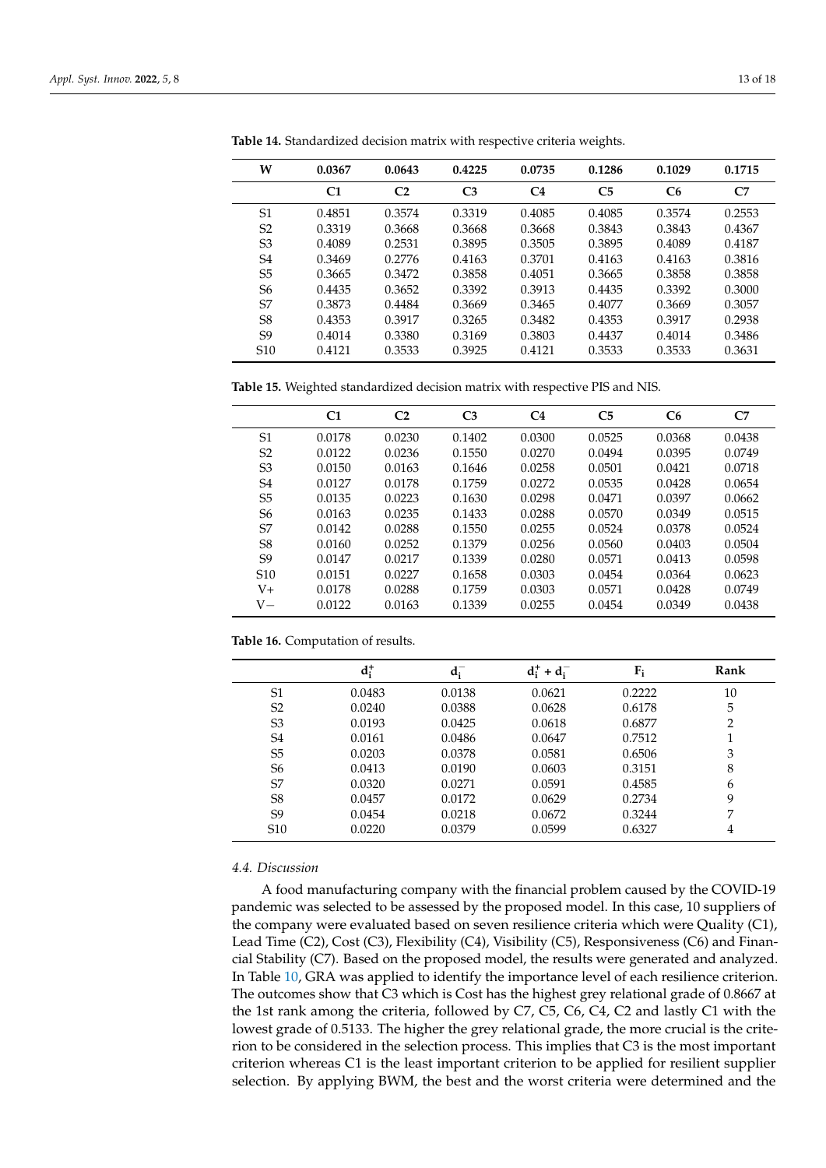| W               | 0.0367         | 0.0643         | 0.4225         | 0.0735         | 0.1286         | 0.1029         | 0.1715 |
|-----------------|----------------|----------------|----------------|----------------|----------------|----------------|--------|
|                 | C <sub>1</sub> | C <sub>2</sub> | C <sub>3</sub> | C <sub>4</sub> | C <sub>5</sub> | C <sub>6</sub> | C7     |
| S1              | 0.4851         | 0.3574         | 0.3319         | 0.4085         | 0.4085         | 0.3574         | 0.2553 |
| S <sub>2</sub>  | 0.3319         | 0.3668         | 0.3668         | 0.3668         | 0.3843         | 0.3843         | 0.4367 |
| S <sub>3</sub>  | 0.4089         | 0.2531         | 0.3895         | 0.3505         | 0.3895         | 0.4089         | 0.4187 |
| S <sub>4</sub>  | 0.3469         | 0.2776         | 0.4163         | 0.3701         | 0.4163         | 0.4163         | 0.3816 |
| S <sub>5</sub>  | 0.3665         | 0.3472         | 0.3858         | 0.4051         | 0.3665         | 0.3858         | 0.3858 |
| S <sub>6</sub>  | 0.4435         | 0.3652         | 0.3392         | 0.3913         | 0.4435         | 0.3392         | 0.3000 |
| S7              | 0.3873         | 0.4484         | 0.3669         | 0.3465         | 0.4077         | 0.3669         | 0.3057 |
| S <sub>8</sub>  | 0.4353         | 0.3917         | 0.3265         | 0.3482         | 0.4353         | 0.3917         | 0.2938 |
| S <sub>9</sub>  | 0.4014         | 0.3380         | 0.3169         | 0.3803         | 0.4437         | 0.4014         | 0.3486 |
| S <sub>10</sub> | 0.4121         | 0.3533         | 0.3925         | 0.4121         | 0.3533         | 0.3533         | 0.3631 |

<span id="page-12-0"></span>**Table 14.** Standardized decision matrix with respective criteria weights.

<span id="page-12-1"></span>**Table 15.** Weighted standardized decision matrix with respective PIS and NIS.

|                 | C1     | C <sub>2</sub> | C <sub>3</sub> | C <sub>4</sub> | C <sub>5</sub> | C <sub>6</sub> | C7     |
|-----------------|--------|----------------|----------------|----------------|----------------|----------------|--------|
| S <sub>1</sub>  | 0.0178 | 0.0230         | 0.1402         | 0.0300         | 0.0525         | 0.0368         | 0.0438 |
| S <sub>2</sub>  | 0.0122 | 0.0236         | 0.1550         | 0.0270         | 0.0494         | 0.0395         | 0.0749 |
| S <sub>3</sub>  | 0.0150 | 0.0163         | 0.1646         | 0.0258         | 0.0501         | 0.0421         | 0.0718 |
| S <sub>4</sub>  | 0.0127 | 0.0178         | 0.1759         | 0.0272         | 0.0535         | 0.0428         | 0.0654 |
| S <sub>5</sub>  | 0.0135 | 0.0223         | 0.1630         | 0.0298         | 0.0471         | 0.0397         | 0.0662 |
| S <sub>6</sub>  | 0.0163 | 0.0235         | 0.1433         | 0.0288         | 0.0570         | 0.0349         | 0.0515 |
| S7              | 0.0142 | 0.0288         | 0.1550         | 0.0255         | 0.0524         | 0.0378         | 0.0524 |
| S <sub>8</sub>  | 0.0160 | 0.0252         | 0.1379         | 0.0256         | 0.0560         | 0.0403         | 0.0504 |
| S <sub>9</sub>  | 0.0147 | 0.0217         | 0.1339         | 0.0280         | 0.0571         | 0.0413         | 0.0598 |
| S <sub>10</sub> | 0.0151 | 0.0227         | 0.1658         | 0.0303         | 0.0454         | 0.0364         | 0.0623 |
| V+              | 0.0178 | 0.0288         | 0.1759         | 0.0303         | 0.0571         | 0.0428         | 0.0749 |
| $V -$           | 0.0122 | 0.0163         | 0.1339         | 0.0255         | 0.0454         | 0.0349         | 0.0438 |

<span id="page-12-2"></span>**Table 16.** Computation of results.

|                 | $d_i^+$ | $d_i$  | $d_i^+ + d_i^-$ | $F_i$  | Rank           |
|-----------------|---------|--------|-----------------|--------|----------------|
| S <sub>1</sub>  | 0.0483  | 0.0138 | 0.0621          | 0.2222 | 10             |
| S <sub>2</sub>  | 0.0240  | 0.0388 | 0.0628          | 0.6178 | 5              |
| S <sub>3</sub>  | 0.0193  | 0.0425 | 0.0618          | 0.6877 | $\overline{2}$ |
| S <sub>4</sub>  | 0.0161  | 0.0486 | 0.0647          | 0.7512 |                |
| S <sub>5</sub>  | 0.0203  | 0.0378 | 0.0581          | 0.6506 | 3              |
| S <sub>6</sub>  | 0.0413  | 0.0190 | 0.0603          | 0.3151 | 8              |
| S7              | 0.0320  | 0.0271 | 0.0591          | 0.4585 | 6              |
| S <sub>8</sub>  | 0.0457  | 0.0172 | 0.0629          | 0.2734 | 9              |
| S <sub>9</sub>  | 0.0454  | 0.0218 | 0.0672          | 0.3244 | 7              |
| S <sub>10</sub> | 0.0220  | 0.0379 | 0.0599          | 0.6327 | 4              |

## *4.4. Discussion*

A food manufacturing company with the financial problem caused by the COVID-19 pandemic was selected to be assessed by the proposed model. In this case, 10 suppliers of the company were evaluated based on seven resilience criteria which were Quality (C1), Lead Time (C2), Cost (C3), Flexibility (C4), Visibility (C5), Responsiveness (C6) and Financial Stability (C7). Based on the proposed model, the results were generated and analyzed. In Table [10,](#page-11-0) GRA was applied to identify the importance level of each resilience criterion. The outcomes show that C3 which is Cost has the highest grey relational grade of 0.8667 at the 1st rank among the criteria, followed by C7, C5, C6, C4, C2 and lastly C1 with the lowest grade of 0.5133. The higher the grey relational grade, the more crucial is the criterion to be considered in the selection process. This implies that C3 is the most important criterion whereas C1 is the least important criterion to be applied for resilient supplier selection. By applying BWM, the best and the worst criteria were determined and the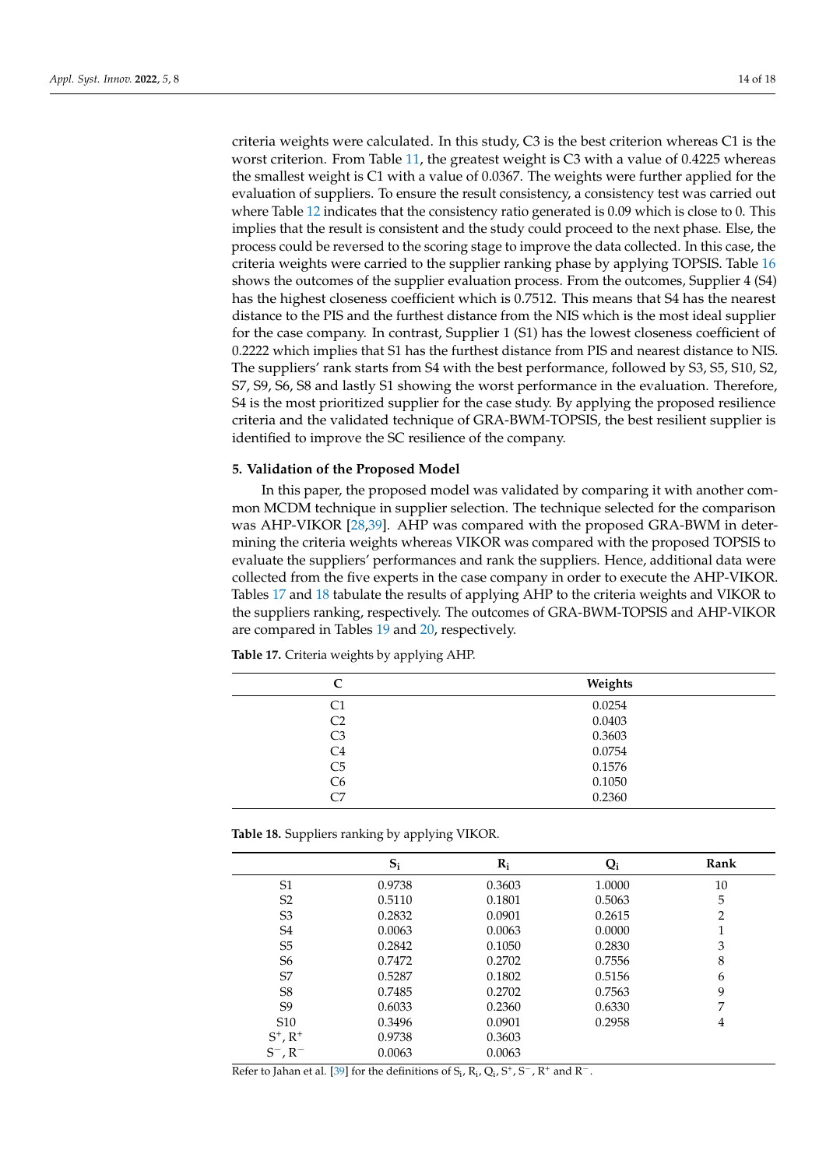criteria weights were calculated. In this study, C3 is the best criterion whereas C1 is the worst criterion. From Table [11,](#page-11-1) the greatest weight is C3 with a value of 0.4225 whereas the smallest weight is C1 with a value of 0.0367. The weights were further applied for the evaluation of suppliers. To ensure the result consistency, a consistency test was carried out where Table [12](#page-11-2) indicates that the consistency ratio generated is 0.09 which is close to 0. This implies that the result is consistent and the study could proceed to the next phase. Else, the process could be reversed to the scoring stage to improve the data collected. In this case, the criteria weights were carried to the supplier ranking phase by applying TOPSIS. Table [16](#page-12-2) shows the outcomes of the supplier evaluation process. From the outcomes, Supplier 4 (S4) has the highest closeness coefficient which is 0.7512. This means that S4 has the nearest distance to the PIS and the furthest distance from the NIS which is the most ideal supplier for the case company. In contrast, Supplier 1 (S1) has the lowest closeness coefficient of 0.2222 which implies that S1 has the furthest distance from PIS and nearest distance to NIS. The suppliers' rank starts from S4 with the best performance, followed by S3, S5, S10, S2, S7, S9, S6, S8 and lastly S1 showing the worst performance in the evaluation. Therefore, S4 is the most prioritized supplier for the case study. By applying the proposed resilience criteria and the validated technique of GRA-BWM-TOPSIS, the best resilient supplier is identified to improve the SC resilience of the company.

### <span id="page-13-0"></span>**5. Validation of the Proposed Model**

In this paper, the proposed model was validated by comparing it with another common MCDM technique in supplier selection. The technique selected for the comparison was AHP-VIKOR [\[28,](#page-16-24)[39\]](#page-17-6). AHP was compared with the proposed GRA-BWM in determining the criteria weights whereas VIKOR was compared with the proposed TOPSIS to evaluate the suppliers' performances and rank the suppliers. Hence, additional data were collected from the five experts in the case company in order to execute the AHP-VIKOR. Tables [17](#page-13-1) and [18](#page-13-2) tabulate the results of applying AHP to the criteria weights and VIKOR to the suppliers ranking, respectively. The outcomes of GRA-BWM-TOPSIS and AHP-VIKOR are compared in Tables [19](#page-14-1) and [20,](#page-14-2) respectively.

| C              | Weights |
|----------------|---------|
| C1             | 0.0254  |
| C <sub>2</sub> | 0.0403  |
| C3             | 0.3603  |
| C <sub>4</sub> | 0.0754  |
| C <sub>5</sub> | 0.1576  |
| C <sub>6</sub> | 0.1050  |
| C7             | 0.2360  |
|                |         |

<span id="page-13-1"></span>**Table 17.** Criteria weights by applying AHP.

<span id="page-13-2"></span>**Table 18.** Suppliers ranking by applying VIKOR.

|                        | $S_i$  | $R_i$  | $Q_i$  | Rank |
|------------------------|--------|--------|--------|------|
| S <sub>1</sub>         | 0.9738 | 0.3603 | 1.0000 | 10   |
| S <sub>2</sub>         | 0.5110 | 0.1801 | 0.5063 | 5    |
| S3                     | 0.2832 | 0.0901 | 0.2615 | 2    |
| S <sub>4</sub>         | 0.0063 | 0.0063 | 0.0000 | 1    |
| S <sub>5</sub>         | 0.2842 | 0.1050 | 0.2830 | 3    |
| S <sub>6</sub>         | 0.7472 | 0.2702 | 0.7556 | 8    |
| S7                     | 0.5287 | 0.1802 | 0.5156 | 6    |
| S <sub>8</sub>         | 0.7485 | 0.2702 | 0.7563 | 9    |
| S9                     | 0.6033 | 0.2360 | 0.6330 | 7    |
| S <sub>10</sub>        | 0.3496 | 0.0901 | 0.2958 | 4    |
| $S^{+}$ , $R^{+}$      | 0.9738 | 0.3603 |        |      |
| $S^-$ , R <sup>-</sup> | 0.0063 | 0.0063 |        |      |

Refer to Jahan et al. [\[39\]](#page-17-6) for the definitions of  $S_i$ ,  $R_i$ ,  $Q_i$ ,  $S^+$ ,  $S^-$ ,  $R^+$  and  $R^-$ .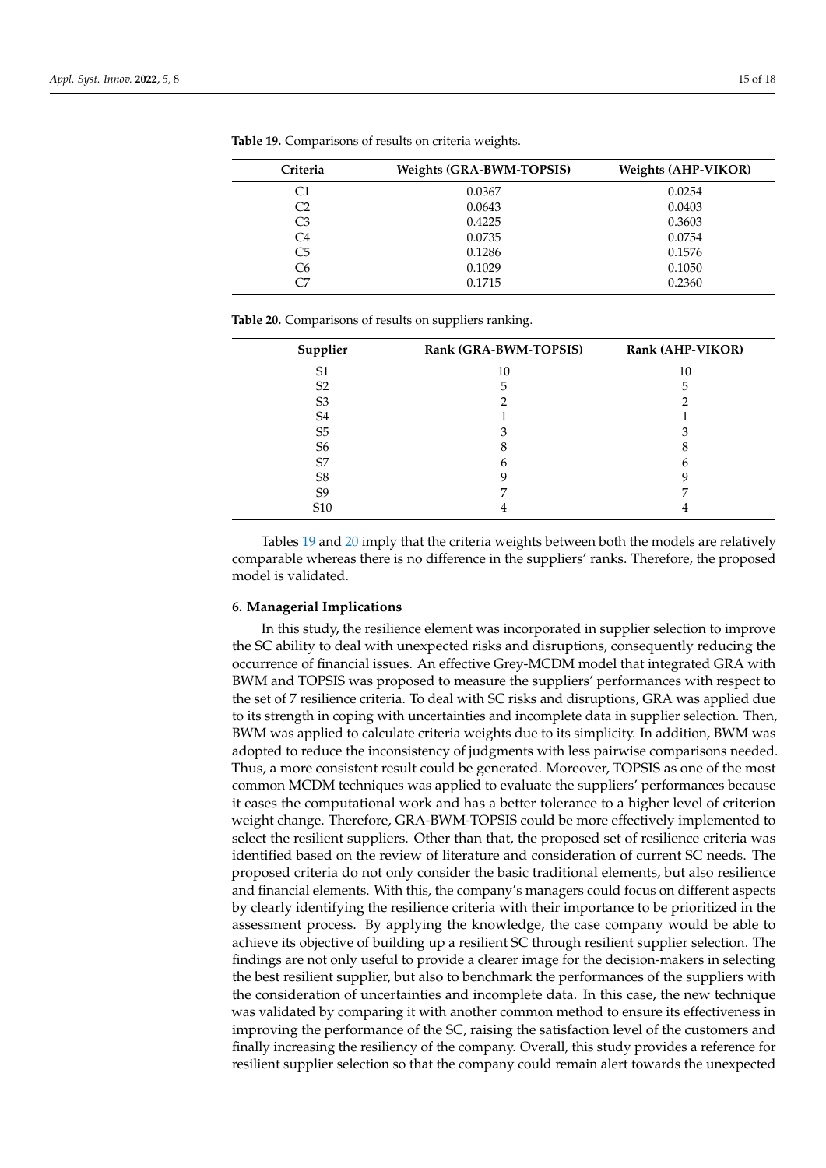| Criteria       | <b>Weights (GRA-BWM-TOPSIS)</b> | <b>Weights (AHP-VIKOR)</b> |
|----------------|---------------------------------|----------------------------|
| C1             | 0.0367                          | 0.0254                     |
| C <sub>2</sub> | 0.0643                          | 0.0403                     |
| C3             | 0.4225                          | 0.3603                     |
| C4             | 0.0735                          | 0.0754                     |
| C <sub>5</sub> | 0.1286                          | 0.1576                     |
| C6             | 0.1029                          | 0.1050                     |
| C7             | 0.1715                          | 0.2360                     |

<span id="page-14-1"></span>**Table 19.** Comparisons of results on criteria weights.

<span id="page-14-2"></span>

|  | Table 20. Comparisons of results on suppliers ranking. |  |  |  |
|--|--------------------------------------------------------|--|--|--|
|--|--------------------------------------------------------|--|--|--|

| Supplier        | Rank (GRA-BWM-TOPSIS) | Rank (AHP-VIKOR) |
|-----------------|-----------------------|------------------|
| S1              | 10                    | 10               |
| S <sub>2</sub>  | 5                     |                  |
| S <sub>3</sub>  |                       |                  |
| S4              |                       |                  |
| S <sub>5</sub>  |                       |                  |
| S6              |                       |                  |
| S7              |                       |                  |
| S8              |                       |                  |
| S9              |                       |                  |
| S <sub>10</sub> |                       |                  |

Tables [19](#page-14-1) and [20](#page-14-2) imply that the criteria weights between both the models are relatively comparable whereas there is no difference in the suppliers' ranks. Therefore, the proposed model is validated.

#### <span id="page-14-0"></span>**6. Managerial Implications**

In this study, the resilience element was incorporated in supplier selection to improve the SC ability to deal with unexpected risks and disruptions, consequently reducing the occurrence of financial issues. An effective Grey-MCDM model that integrated GRA with BWM and TOPSIS was proposed to measure the suppliers' performances with respect to the set of 7 resilience criteria. To deal with SC risks and disruptions, GRA was applied due to its strength in coping with uncertainties and incomplete data in supplier selection. Then, BWM was applied to calculate criteria weights due to its simplicity. In addition, BWM was adopted to reduce the inconsistency of judgments with less pairwise comparisons needed. Thus, a more consistent result could be generated. Moreover, TOPSIS as one of the most common MCDM techniques was applied to evaluate the suppliers' performances because it eases the computational work and has a better tolerance to a higher level of criterion weight change. Therefore, GRA-BWM-TOPSIS could be more effectively implemented to select the resilient suppliers. Other than that, the proposed set of resilience criteria was identified based on the review of literature and consideration of current SC needs. The proposed criteria do not only consider the basic traditional elements, but also resilience and financial elements. With this, the company's managers could focus on different aspects by clearly identifying the resilience criteria with their importance to be prioritized in the assessment process. By applying the knowledge, the case company would be able to achieve its objective of building up a resilient SC through resilient supplier selection. The findings are not only useful to provide a clearer image for the decision-makers in selecting the best resilient supplier, but also to benchmark the performances of the suppliers with the consideration of uncertainties and incomplete data. In this case, the new technique was validated by comparing it with another common method to ensure its effectiveness in improving the performance of the SC, raising the satisfaction level of the customers and finally increasing the resiliency of the company. Overall, this study provides a reference for resilient supplier selection so that the company could remain alert towards the unexpected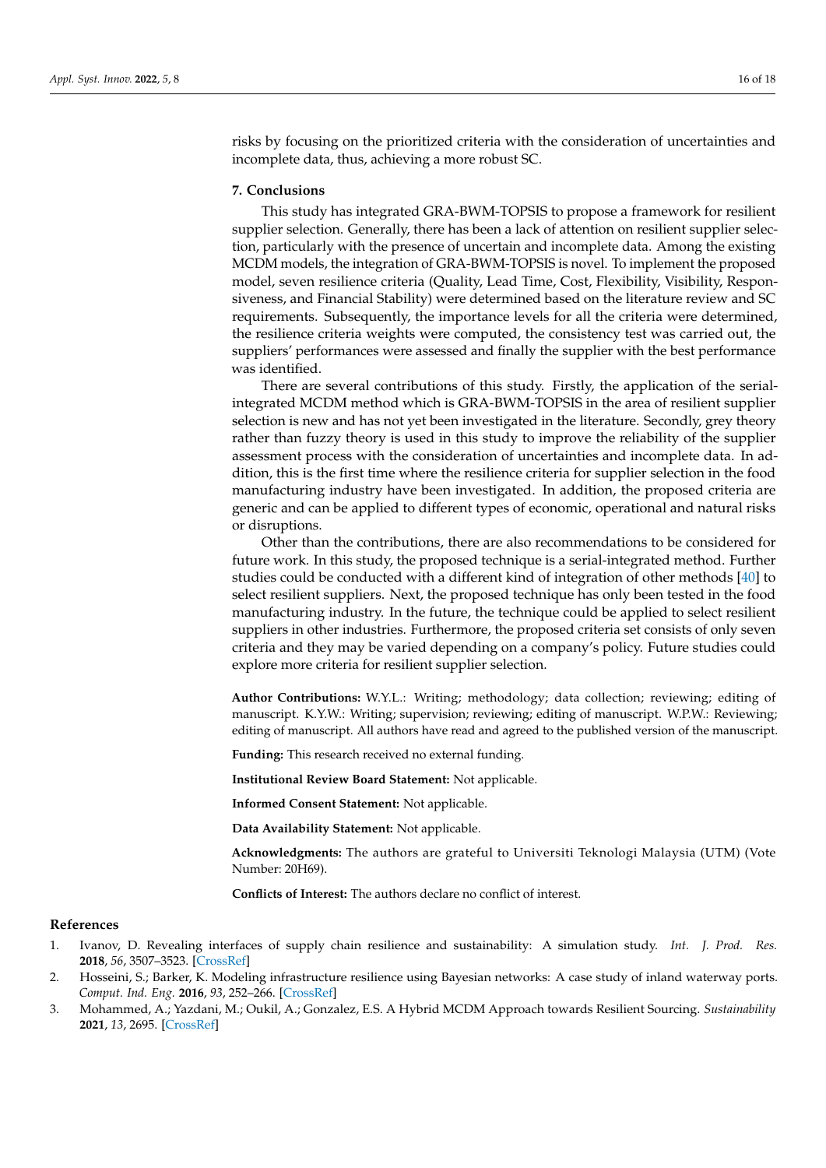risks by focusing on the prioritized criteria with the consideration of uncertainties and incomplete data, thus, achieving a more robust SC.

### **7. Conclusions**

This study has integrated GRA-BWM-TOPSIS to propose a framework for resilient supplier selection. Generally, there has been a lack of attention on resilient supplier selection, particularly with the presence of uncertain and incomplete data. Among the existing MCDM models, the integration of GRA-BWM-TOPSIS is novel. To implement the proposed model, seven resilience criteria (Quality, Lead Time, Cost, Flexibility, Visibility, Responsiveness, and Financial Stability) were determined based on the literature review and SC requirements. Subsequently, the importance levels for all the criteria were determined, the resilience criteria weights were computed, the consistency test was carried out, the suppliers' performances were assessed and finally the supplier with the best performance was identified.

There are several contributions of this study. Firstly, the application of the serialintegrated MCDM method which is GRA-BWM-TOPSIS in the area of resilient supplier selection is new and has not yet been investigated in the literature. Secondly, grey theory rather than fuzzy theory is used in this study to improve the reliability of the supplier assessment process with the consideration of uncertainties and incomplete data. In addition, this is the first time where the resilience criteria for supplier selection in the food manufacturing industry have been investigated. In addition, the proposed criteria are generic and can be applied to different types of economic, operational and natural risks or disruptions.

Other than the contributions, there are also recommendations to be considered for future work. In this study, the proposed technique is a serial-integrated method. Further studies could be conducted with a different kind of integration of other methods [\[40\]](#page-17-7) to select resilient suppliers. Next, the proposed technique has only been tested in the food manufacturing industry. In the future, the technique could be applied to select resilient suppliers in other industries. Furthermore, the proposed criteria set consists of only seven criteria and they may be varied depending on a company's policy. Future studies could explore more criteria for resilient supplier selection.

**Author Contributions:** W.Y.L.: Writing; methodology; data collection; reviewing; editing of manuscript. K.Y.W.: Writing; supervision; reviewing; editing of manuscript. W.P.W.: Reviewing; editing of manuscript. All authors have read and agreed to the published version of the manuscript.

**Funding:** This research received no external funding.

**Institutional Review Board Statement:** Not applicable.

**Informed Consent Statement:** Not applicable.

**Data Availability Statement:** Not applicable.

**Acknowledgments:** The authors are grateful to Universiti Teknologi Malaysia (UTM) (Vote Number: 20H69).

**Conflicts of Interest:** The authors declare no conflict of interest.

#### **References**

- <span id="page-15-0"></span>1. Ivanov, D. Revealing interfaces of supply chain resilience and sustainability: A simulation study. *Int. J. Prod. Res.* **2018**, *56*, 3507–3523. [\[CrossRef\]](http://doi.org/10.1080/00207543.2017.1343507)
- <span id="page-15-1"></span>2. Hosseini, S.; Barker, K. Modeling infrastructure resilience using Bayesian networks: A case study of inland waterway ports. *Comput. Ind. Eng.* **2016**, *93*, 252–266. [\[CrossRef\]](http://doi.org/10.1016/j.cie.2016.01.007)
- <span id="page-15-2"></span>3. Mohammed, A.; Yazdani, M.; Oukil, A.; Gonzalez, E.S. A Hybrid MCDM Approach towards Resilient Sourcing. *Sustainability* **2021**, *13*, 2695. [\[CrossRef\]](http://doi.org/10.3390/su13052695)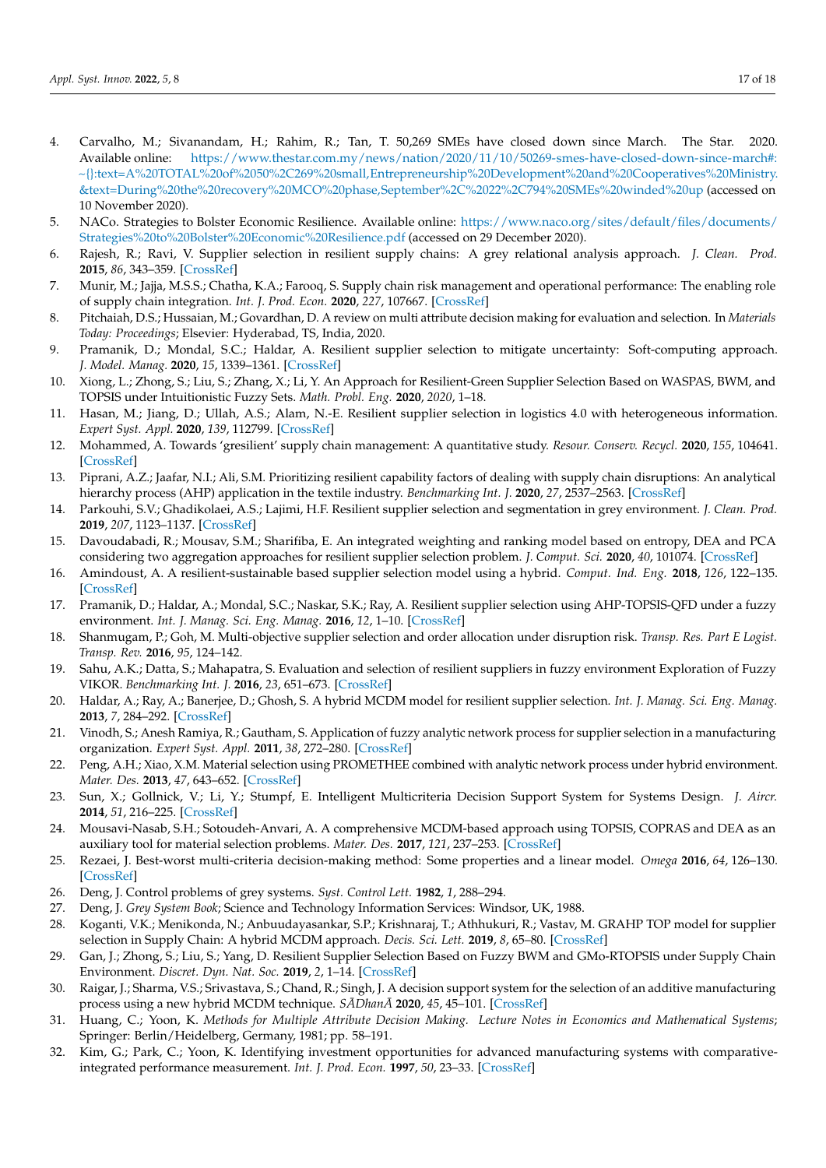- <span id="page-16-0"></span>4. Carvalho, M.; Sivanandam, H.; Rahim, R.; Tan, T. 50,269 SMEs have closed down since March. The Star. 2020. Available online: [https://www.thestar.com.my/news/nation/2020/11/10/50269-smes-have-closed-down-since-march#:](https://www.thestar.com.my/news/nation/2020/11/10/50269-smes-have-closed-down-since-march#:~{}:text=A%20TOTAL%20of%2050%2C269%20small,Entrepreneurship%20Development%20and%20Cooperatives%20Ministry.&text=During%20the%20recovery%20MCO%20phase,September%2C%2022%2C794%20SMEs%20winded%20up) [~{}:text=A%20TOTAL%20of%2050%2C269%20small,Entrepreneurship%20Development%20and%20Cooperatives%20Ministry.](https://www.thestar.com.my/news/nation/2020/11/10/50269-smes-have-closed-down-since-march#:~{}:text=A%20TOTAL%20of%2050%2C269%20small,Entrepreneurship%20Development%20and%20Cooperatives%20Ministry.&text=During%20the%20recovery%20MCO%20phase,September%2C%2022%2C794%20SMEs%20winded%20up) [&text=During%20the%20recovery%20MCO%20phase,September%2C%2022%2C794%20SMEs%20winded%20up](https://www.thestar.com.my/news/nation/2020/11/10/50269-smes-have-closed-down-since-march#:~{}:text=A%20TOTAL%20of%2050%2C269%20small,Entrepreneurship%20Development%20and%20Cooperatives%20Ministry.&text=During%20the%20recovery%20MCO%20phase,September%2C%2022%2C794%20SMEs%20winded%20up) (accessed on 10 November 2020).
- <span id="page-16-1"></span>5. NACo. Strategies to Bolster Economic Resilience. Available online: [https://www.naco.org/sites/default/files/documents/](https://www.naco.org/sites/default/files/documents/Strategies%20to%20Bolster%20Economic%20Resilience.pdf) [Strategies%20to%20Bolster%20Economic%20Resilience.pdf](https://www.naco.org/sites/default/files/documents/Strategies%20to%20Bolster%20Economic%20Resilience.pdf) (accessed on 29 December 2020).
- <span id="page-16-2"></span>6. Rajesh, R.; Ravi, V. Supplier selection in resilient supply chains: A grey relational analysis approach. *J. Clean. Prod.* **2015**, *86*, 343–359. [\[CrossRef\]](http://doi.org/10.1016/j.jclepro.2014.08.054)
- <span id="page-16-3"></span>7. Munir, M.; Jajja, M.S.S.; Chatha, K.A.; Farooq, S. Supply chain risk management and operational performance: The enabling role of supply chain integration. *Int. J. Prod. Econ.* **2020**, *227*, 107667. [\[CrossRef\]](http://doi.org/10.1016/j.ijpe.2020.107667)
- <span id="page-16-4"></span>8. Pitchaiah, D.S.; Hussaian, M.; Govardhan, D. A review on multi attribute decision making for evaluation and selection. In *Materials Today: Proceedings*; Elsevier: Hyderabad, TS, India, 2020.
- <span id="page-16-5"></span>9. Pramanik, D.; Mondal, S.C.; Haldar, A. Resilient supplier selection to mitigate uncertainty: Soft-computing approach. *J. Model. Manag.* **2020**, *15*, 1339–1361. [\[CrossRef\]](http://doi.org/10.1108/JM2-01-2019-0027)
- <span id="page-16-6"></span>10. Xiong, L.; Zhong, S.; Liu, S.; Zhang, X.; Li, Y. An Approach for Resilient-Green Supplier Selection Based on WASPAS, BWM, and TOPSIS under Intuitionistic Fuzzy Sets. *Math. Probl. Eng.* **2020**, *2020*, 1–18.
- <span id="page-16-7"></span>11. Hasan, M.; Jiang, D.; Ullah, A.S.; Alam, N.-E. Resilient supplier selection in logistics 4.0 with heterogeneous information. *Expert Syst. Appl.* **2020**, *139*, 112799. [\[CrossRef\]](http://doi.org/10.1016/j.eswa.2019.07.016)
- <span id="page-16-8"></span>12. Mohammed, A. Towards 'gresilient' supply chain management: A quantitative study. *Resour. Conserv. Recycl.* **2020**, *155*, 104641. [\[CrossRef\]](http://doi.org/10.1016/j.resconrec.2019.104641)
- <span id="page-16-9"></span>13. Piprani, A.Z.; Jaafar, N.I.; Ali, S.M. Prioritizing resilient capability factors of dealing with supply chain disruptions: An analytical hierarchy process (AHP) application in the textile industry. *Benchmarking Int. J.* **2020**, *27*, 2537–2563. [\[CrossRef\]](http://doi.org/10.1108/BIJ-03-2019-0111)
- <span id="page-16-10"></span>14. Parkouhi, S.V.; Ghadikolaei, A.S.; Lajimi, H.F. Resilient supplier selection and segmentation in grey environment. *J. Clean. Prod.* **2019**, *207*, 1123–1137. [\[CrossRef\]](http://doi.org/10.1016/j.jclepro.2018.10.007)
- <span id="page-16-11"></span>15. Davoudabadi, R.; Mousav, S.M.; Sharifiba, E. An integrated weighting and ranking model based on entropy, DEA and PCA considering two aggregation approaches for resilient supplier selection problem. *J. Comput. Sci.* **2020**, *40*, 101074. [\[CrossRef\]](http://doi.org/10.1016/j.jocs.2019.101074)
- <span id="page-16-12"></span>16. Amindoust, A. A resilient-sustainable based supplier selection model using a hybrid. *Comput. Ind. Eng.* **2018**, *126*, 122–135. [\[CrossRef\]](http://doi.org/10.1016/j.cie.2018.09.031)
- <span id="page-16-13"></span>17. Pramanik, D.; Haldar, A.; Mondal, S.C.; Naskar, S.K.; Ray, A. Resilient supplier selection using AHP-TOPSIS-QFD under a fuzzy environment. *Int. J. Manag. Sci. Eng. Manag.* **2016**, *12*, 1–10. [\[CrossRef\]](http://doi.org/10.1080/17509653.2015.1101719)
- <span id="page-16-14"></span>18. Shanmugam, P.; Goh, M. Multi-objective supplier selection and order allocation under disruption risk. *Transp. Res. Part E Logist. Transp. Rev.* **2016**, *95*, 124–142.
- <span id="page-16-15"></span>19. Sahu, A.K.; Datta, S.; Mahapatra, S. Evaluation and selection of resilient suppliers in fuzzy environment Exploration of Fuzzy VIKOR. *Benchmarking Int. J.* **2016**, *23*, 651–673. [\[CrossRef\]](http://doi.org/10.1108/BIJ-11-2014-0109)
- <span id="page-16-16"></span>20. Haldar, A.; Ray, A.; Banerjee, D.; Ghosh, S. A hybrid MCDM model for resilient supplier selection. *Int. J. Manag. Sci. Eng. Manag.* **2013**, *7*, 284–292. [\[CrossRef\]](http://doi.org/10.1080/17509653.2012.10671234)
- <span id="page-16-17"></span>21. Vinodh, S.; Anesh Ramiya, R.; Gautham, S. Application of fuzzy analytic network process for supplier selection in a manufacturing organization. *Expert Syst. Appl.* **2011**, *38*, 272–280. [\[CrossRef\]](http://doi.org/10.1016/j.eswa.2010.06.057)
- <span id="page-16-18"></span>22. Peng, A.H.; Xiao, X.M. Material selection using PROMETHEE combined with analytic network process under hybrid environment. *Mater. Des.* **2013**, *47*, 643–652. [\[CrossRef\]](http://doi.org/10.1016/j.matdes.2012.12.058)
- <span id="page-16-19"></span>23. Sun, X.; Gollnick, V.; Li, Y.; Stumpf, E. Intelligent Multicriteria Decision Support System for Systems Design. *J. Aircr.* **2014**, *51*, 216–225. [\[CrossRef\]](http://doi.org/10.2514/1.C032296)
- <span id="page-16-20"></span>24. Mousavi-Nasab, S.H.; Sotoudeh-Anvari, A. A comprehensive MCDM-based approach using TOPSIS, COPRAS and DEA as an auxiliary tool for material selection problems. *Mater. Des.* **2017**, *121*, 237–253. [\[CrossRef\]](http://doi.org/10.1016/j.matdes.2017.02.041)
- <span id="page-16-21"></span>25. Rezaei, J. Best-worst multi-criteria decision-making method: Some properties and a linear model. *Omega* **2016**, *64*, 126–130. [\[CrossRef\]](http://doi.org/10.1016/j.omega.2015.12.001)
- <span id="page-16-22"></span>26. Deng, J. Control problems of grey systems. *Syst. Control Lett.* **1982**, *1*, 288–294.
- <span id="page-16-23"></span>27. Deng, J. *Grey System Book*; Science and Technology Information Services: Windsor, UK, 1988.
- <span id="page-16-24"></span>28. Koganti, V.K.; Menikonda, N.; Anbuudayasankar, S.P.; Krishnaraj, T.; Athhukuri, R.; Vastav, M. GRAHP TOP model for supplier selection in Supply Chain: A hybrid MCDM approach. *Decis. Sci. Lett.* **2019**, *8*, 65–80. [\[CrossRef\]](http://doi.org/10.5267/j.dsl.2018.5.002)
- <span id="page-16-25"></span>29. Gan, J.; Zhong, S.; Liu, S.; Yang, D. Resilient Supplier Selection Based on Fuzzy BWM and GMo-RTOPSIS under Supply Chain Environment. *Discret. Dyn. Nat. Soc.* **2019**, *2*, 1–14. [\[CrossRef\]](http://doi.org/10.1155/2019/2456260)
- <span id="page-16-26"></span>30. Raigar, J.; Sharma, V.S.; Srivastava, S.; Chand, R.; Singh, J. A decision support system for the selection of an additive manufacturing process using a new hybrid MCDM technique. *SADhan ¯ A¯* **2020**, *45*, 45–101. [\[CrossRef\]](http://doi.org/10.1007/s12046-020-01338-w)
- <span id="page-16-27"></span>31. Huang, C.; Yoon, K. *Methods for Multiple Attribute Decision Making. Lecture Notes in Economics and Mathematical Systems*; Springer: Berlin/Heidelberg, Germany, 1981; pp. 58–191.
- <span id="page-16-28"></span>32. Kim, G.; Park, C.; Yoon, K. Identifying investment opportunities for advanced manufacturing systems with comparativeintegrated performance measurement. *Int. J. Prod. Econ.* **1997**, *50*, 23–33. [\[CrossRef\]](http://doi.org/10.1016/S0925-5273(97)00014-5)